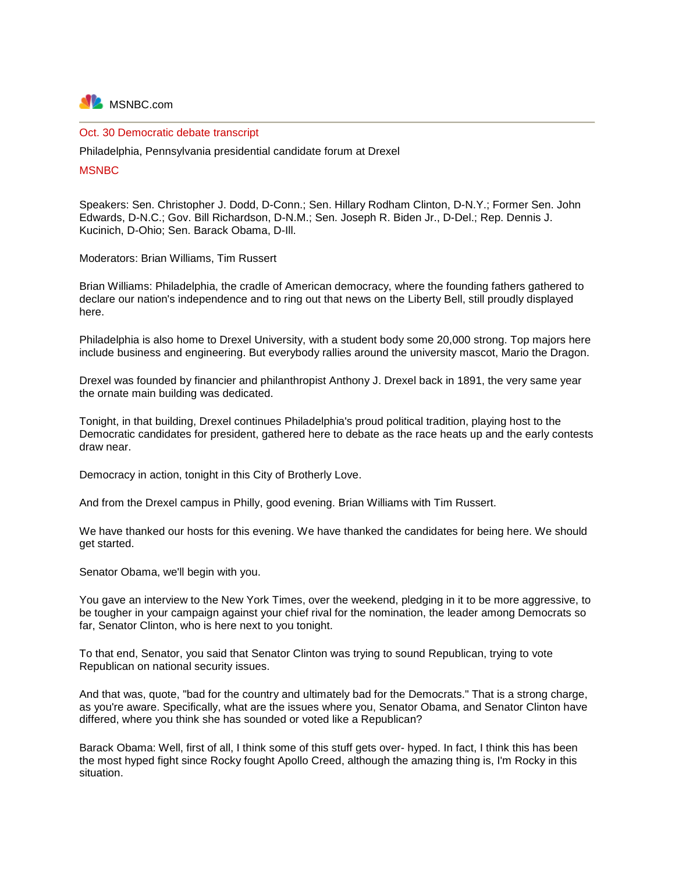# **MSNBC.com**

Oct. 30 Democratic debate transcript

Philadelphia, Pennsylvania presidential candidate forum at Drexel

MSNBC

Speakers: Sen. Christopher J. Dodd, D-Conn.; Sen. Hillary Rodham Clinton, D-N.Y.; Former Sen. John Edwards, D-N.C.; Gov. Bill Richardson, D-N.M.; Sen. Joseph R. Biden Jr., D-Del.; Rep. Dennis J. Kucinich, D-Ohio; Sen. Barack Obama, D-Ill.

Moderators: Brian Williams, Tim Russert

Brian Williams: Philadelphia, the cradle of American democracy, where the founding fathers gathered to declare our nation's independence and to ring out that news on the Liberty Bell, still proudly displayed here.

Philadelphia is also home to Drexel University, with a student body some 20,000 strong. Top majors here include business and engineering. But everybody rallies around the university mascot, Mario the Dragon.

Drexel was founded by financier and philanthropist Anthony J. Drexel back in 1891, the very same year the ornate main building was dedicated.

Tonight, in that building, Drexel continues Philadelphia's proud political tradition, playing host to the Democratic candidates for president, gathered here to debate as the race heats up and the early contests draw near.

Democracy in action, tonight in this City of Brotherly Love.

And from the Drexel campus in Philly, good evening. Brian Williams with Tim Russert.

We have thanked our hosts for this evening. We have thanked the candidates for being here. We should get started.

Senator Obama, we'll begin with you.

You gave an interview to the New York Times, over the weekend, pledging in it to be more aggressive, to be tougher in your campaign against your chief rival for the nomination, the leader among Democrats so far, Senator Clinton, who is here next to you tonight.

To that end, Senator, you said that Senator Clinton was trying to sound Republican, trying to vote Republican on national security issues.

And that was, quote, "bad for the country and ultimately bad for the Democrats." That is a strong charge, as you're aware. Specifically, what are the issues where you, Senator Obama, and Senator Clinton have differed, where you think she has sounded or voted like a Republican?

Barack Obama: Well, first of all, I think some of this stuff gets over- hyped. In fact, I think this has been the most hyped fight since Rocky fought Apollo Creed, although the amazing thing is, I'm Rocky in this situation.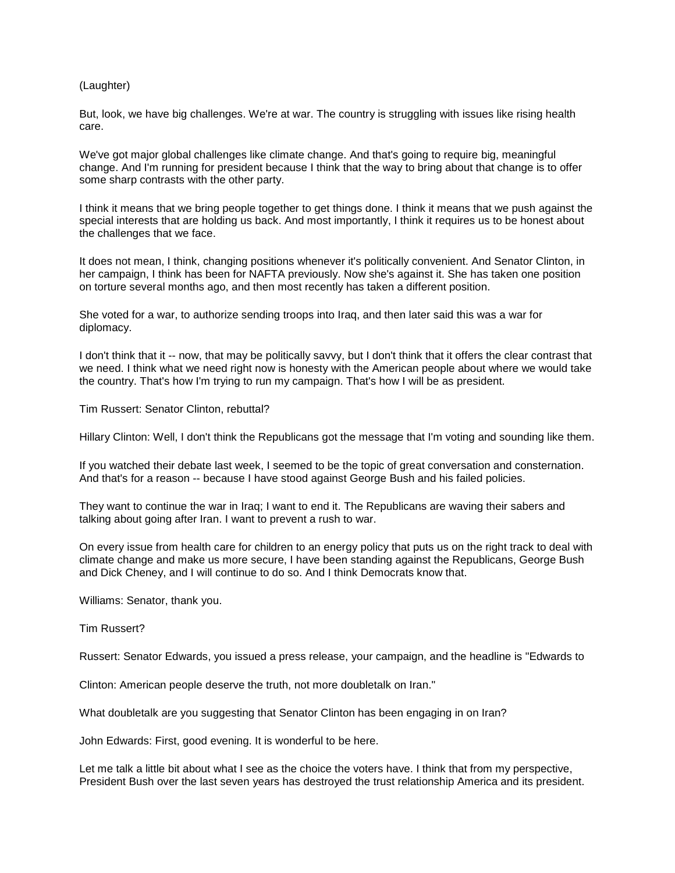# (Laughter)

But, look, we have big challenges. We're at war. The country is struggling with issues like rising health care.

We've got major global challenges like climate change. And that's going to require big, meaningful change. And I'm running for president because I think that the way to bring about that change is to offer some sharp contrasts with the other party.

I think it means that we bring people together to get things done. I think it means that we push against the special interests that are holding us back. And most importantly, I think it requires us to be honest about the challenges that we face.

It does not mean, I think, changing positions whenever it's politically convenient. And Senator Clinton, in her campaign, I think has been for NAFTA previously. Now she's against it. She has taken one position on torture several months ago, and then most recently has taken a different position.

She voted for a war, to authorize sending troops into Iraq, and then later said this was a war for diplomacy.

I don't think that it -- now, that may be politically savvy, but I don't think that it offers the clear contrast that we need. I think what we need right now is honesty with the American people about where we would take the country. That's how I'm trying to run my campaign. That's how I will be as president.

Tim Russert: Senator Clinton, rebuttal?

Hillary Clinton: Well, I don't think the Republicans got the message that I'm voting and sounding like them.

If you watched their debate last week, I seemed to be the topic of great conversation and consternation. And that's for a reason -- because I have stood against George Bush and his failed policies.

They want to continue the war in Iraq; I want to end it. The Republicans are waving their sabers and talking about going after Iran. I want to prevent a rush to war.

On every issue from health care for children to an energy policy that puts us on the right track to deal with climate change and make us more secure, I have been standing against the Republicans, George Bush and Dick Cheney, and I will continue to do so. And I think Democrats know that.

Williams: Senator, thank you.

#### Tim Russert?

Russert: Senator Edwards, you issued a press release, your campaign, and the headline is "Edwards to

Clinton: American people deserve the truth, not more doubletalk on Iran."

What doubletalk are you suggesting that Senator Clinton has been engaging in on Iran?

John Edwards: First, good evening. It is wonderful to be here.

Let me talk a little bit about what I see as the choice the voters have. I think that from my perspective, President Bush over the last seven years has destroyed the trust relationship America and its president.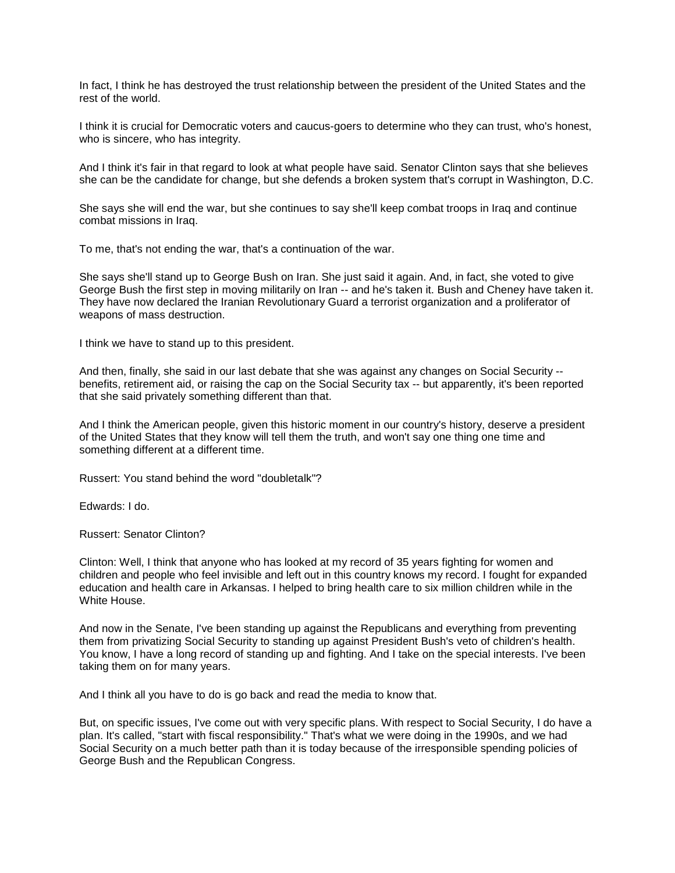In fact, I think he has destroyed the trust relationship between the president of the United States and the rest of the world.

I think it is crucial for Democratic voters and caucus-goers to determine who they can trust, who's honest, who is sincere, who has integrity.

And I think it's fair in that regard to look at what people have said. Senator Clinton says that she believes she can be the candidate for change, but she defends a broken system that's corrupt in Washington, D.C.

She says she will end the war, but she continues to say she'll keep combat troops in Iraq and continue combat missions in Iraq.

To me, that's not ending the war, that's a continuation of the war.

She says she'll stand up to George Bush on Iran. She just said it again. And, in fact, she voted to give George Bush the first step in moving militarily on Iran -- and he's taken it. Bush and Cheney have taken it. They have now declared the Iranian Revolutionary Guard a terrorist organization and a proliferator of weapons of mass destruction.

I think we have to stand up to this president.

And then, finally, she said in our last debate that she was against any changes on Social Security - benefits, retirement aid, or raising the cap on the Social Security tax -- but apparently, it's been reported that she said privately something different than that.

And I think the American people, given this historic moment in our country's history, deserve a president of the United States that they know will tell them the truth, and won't say one thing one time and something different at a different time.

Russert: You stand behind the word "doubletalk"?

Edwards: I do.

Russert: Senator Clinton?

Clinton: Well, I think that anyone who has looked at my record of 35 years fighting for women and children and people who feel invisible and left out in this country knows my record. I fought for expanded education and health care in Arkansas. I helped to bring health care to six million children while in the White House.

And now in the Senate, I've been standing up against the Republicans and everything from preventing them from privatizing Social Security to standing up against President Bush's veto of children's health. You know, I have a long record of standing up and fighting. And I take on the special interests. I've been taking them on for many years.

And I think all you have to do is go back and read the media to know that.

But, on specific issues, I've come out with very specific plans. With respect to Social Security, I do have a plan. It's called, "start with fiscal responsibility." That's what we were doing in the 1990s, and we had Social Security on a much better path than it is today because of the irresponsible spending policies of George Bush and the Republican Congress.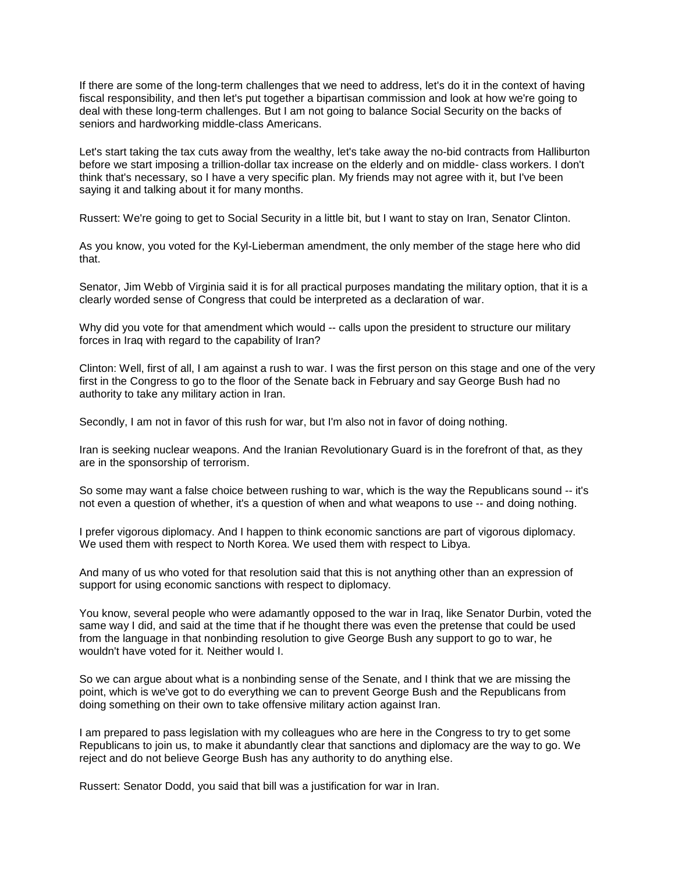If there are some of the long-term challenges that we need to address, let's do it in the context of having fiscal responsibility, and then let's put together a bipartisan commission and look at how we're going to deal with these long-term challenges. But I am not going to balance Social Security on the backs of seniors and hardworking middle-class Americans.

Let's start taking the tax cuts away from the wealthy, let's take away the no-bid contracts from Halliburton before we start imposing a trillion-dollar tax increase on the elderly and on middle- class workers. I don't think that's necessary, so I have a very specific plan. My friends may not agree with it, but I've been saying it and talking about it for many months.

Russert: We're going to get to Social Security in a little bit, but I want to stay on Iran, Senator Clinton.

As you know, you voted for the Kyl-Lieberman amendment, the only member of the stage here who did that.

Senator, Jim Webb of Virginia said it is for all practical purposes mandating the military option, that it is a clearly worded sense of Congress that could be interpreted as a declaration of war.

Why did you vote for that amendment which would -- calls upon the president to structure our military forces in Iraq with regard to the capability of Iran?

Clinton: Well, first of all, I am against a rush to war. I was the first person on this stage and one of the very first in the Congress to go to the floor of the Senate back in February and say George Bush had no authority to take any military action in Iran.

Secondly, I am not in favor of this rush for war, but I'm also not in favor of doing nothing.

Iran is seeking nuclear weapons. And the Iranian Revolutionary Guard is in the forefront of that, as they are in the sponsorship of terrorism.

So some may want a false choice between rushing to war, which is the way the Republicans sound -- it's not even a question of whether, it's a question of when and what weapons to use -- and doing nothing.

I prefer vigorous diplomacy. And I happen to think economic sanctions are part of vigorous diplomacy. We used them with respect to North Korea. We used them with respect to Libya.

And many of us who voted for that resolution said that this is not anything other than an expression of support for using economic sanctions with respect to diplomacy.

You know, several people who were adamantly opposed to the war in Iraq, like Senator Durbin, voted the same way I did, and said at the time that if he thought there was even the pretense that could be used from the language in that nonbinding resolution to give George Bush any support to go to war, he wouldn't have voted for it. Neither would I.

So we can argue about what is a nonbinding sense of the Senate, and I think that we are missing the point, which is we've got to do everything we can to prevent George Bush and the Republicans from doing something on their own to take offensive military action against Iran.

I am prepared to pass legislation with my colleagues who are here in the Congress to try to get some Republicans to join us, to make it abundantly clear that sanctions and diplomacy are the way to go. We reject and do not believe George Bush has any authority to do anything else.

Russert: Senator Dodd, you said that bill was a justification for war in Iran.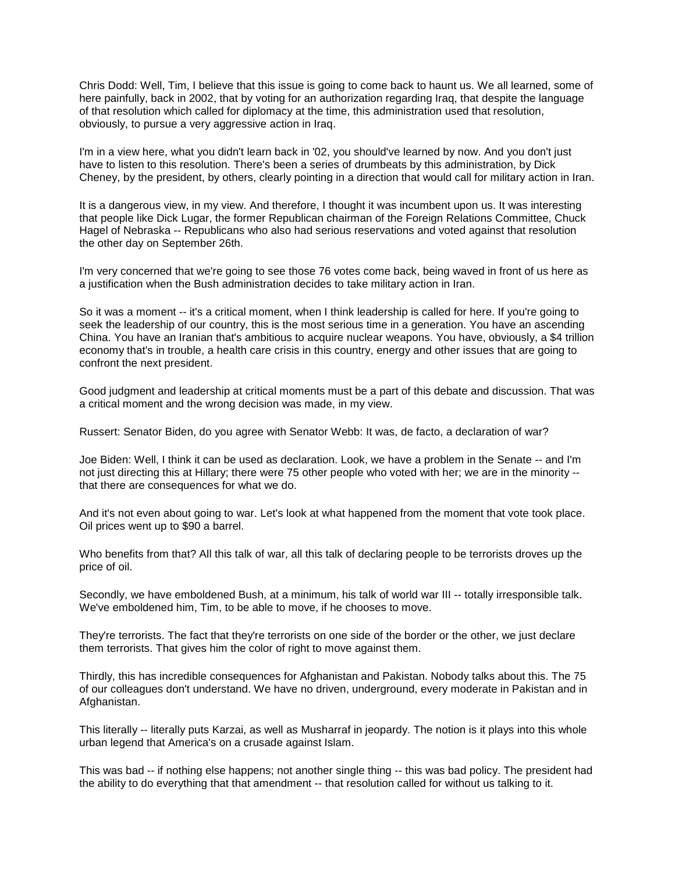Chris Dodd: Well, Tim, I believe that this issue is going to come back to haunt us. We all learned, some of here painfully, back in 2002, that by voting for an authorization regarding Iraq, that despite the language of that resolution which called for diplomacy at the time, this administration used that resolution, obviously, to pursue a very aggressive action in Iraq.

I'm in a view here, what you didn't learn back in '02, you should've learned by now. And you don't just have to listen to this resolution. There's been a series of drumbeats by this administration, by Dick Cheney, by the president, by others, clearly pointing in a direction that would call for military action in Iran.

It is a dangerous view, in my view. And therefore, I thought it was incumbent upon us. It was interesting that people like Dick Lugar, the former Republican chairman of the Foreign Relations Committee, Chuck Hagel of Nebraska -- Republicans who also had serious reservations and voted against that resolution the other day on September 26th.

I'm very concerned that we're going to see those 76 votes come back, being waved in front of us here as a justification when the Bush administration decides to take military action in Iran.

So it was a moment -- it's a critical moment, when I think leadership is called for here. If you're going to seek the leadership of our country, this is the most serious time in a generation. You have an ascending China. You have an Iranian that's ambitious to acquire nuclear weapons. You have, obviously, a \$4 trillion economy that's in trouble, a health care crisis in this country, energy and other issues that are going to confront the next president.

Good judgment and leadership at critical moments must be a part of this debate and discussion. That was a critical moment and the wrong decision was made, in my view.

Russert: Senator Biden, do you agree with Senator Webb: It was, de facto, a declaration of war?

Joe Biden: Well, I think it can be used as declaration. Look, we have a problem in the Senate -- and I'm not just directing this at Hillary; there were 75 other people who voted with her; we are in the minority - that there are consequences for what we do.

And it's not even about going to war. Let's look at what happened from the moment that vote took place. Oil prices went up to \$90 a barrel.

Who benefits from that? All this talk of war, all this talk of declaring people to be terrorists droves up the price of oil.

Secondly, we have emboldened Bush, at a minimum, his talk of world war III -- totally irresponsible talk. We've emboldened him, Tim, to be able to move, if he chooses to move.

They're terrorists. The fact that they're terrorists on one side of the border or the other, we just declare them terrorists. That gives him the color of right to move against them.

Thirdly, this has incredible consequences for Afghanistan and Pakistan. Nobody talks about this. The 75 of our colleagues don't understand. We have no driven, underground, every moderate in Pakistan and in Afghanistan.

This literally -- literally puts Karzai, as well as Musharraf in jeopardy. The notion is it plays into this whole urban legend that America's on a crusade against Islam.

This was bad -- if nothing else happens; not another single thing -- this was bad policy. The president had the ability to do everything that that amendment -- that resolution called for without us talking to it.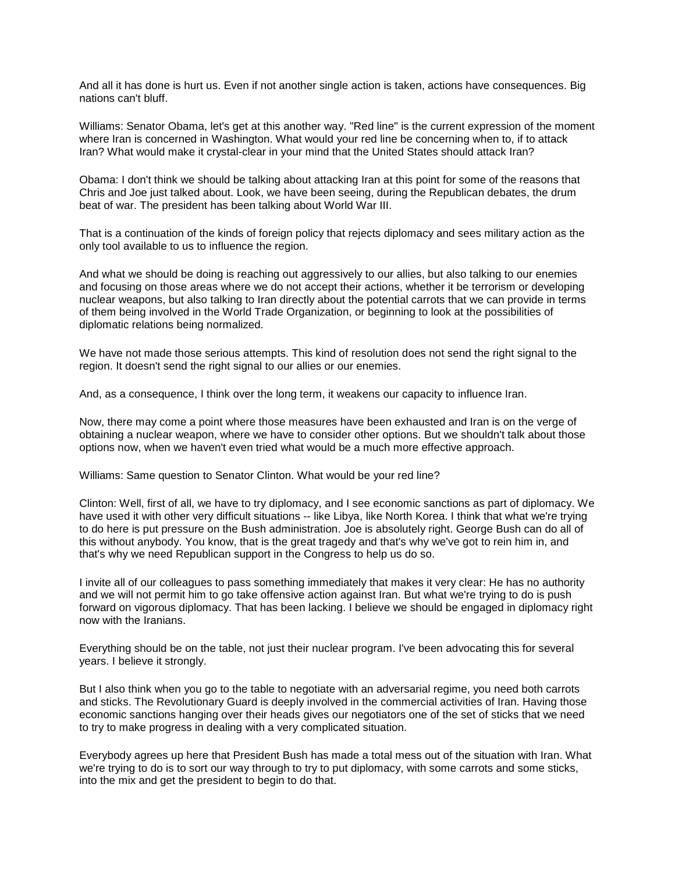And all it has done is hurt us. Even if not another single action is taken, actions have consequences. Big nations can't bluff.

Williams: Senator Obama, let's get at this another way. "Red line" is the current expression of the moment where Iran is concerned in Washington. What would your red line be concerning when to, if to attack Iran? What would make it crystal-clear in your mind that the United States should attack Iran?

Obama: I don't think we should be talking about attacking Iran at this point for some of the reasons that Chris and Joe just talked about. Look, we have been seeing, during the Republican debates, the drum beat of war. The president has been talking about World War III.

That is a continuation of the kinds of foreign policy that rejects diplomacy and sees military action as the only tool available to us to influence the region.

And what we should be doing is reaching out aggressively to our allies, but also talking to our enemies and focusing on those areas where we do not accept their actions, whether it be terrorism or developing nuclear weapons, but also talking to Iran directly about the potential carrots that we can provide in terms of them being involved in the World Trade Organization, or beginning to look at the possibilities of diplomatic relations being normalized.

We have not made those serious attempts. This kind of resolution does not send the right signal to the region. It doesn't send the right signal to our allies or our enemies.

And, as a consequence, I think over the long term, it weakens our capacity to influence Iran.

Now, there may come a point where those measures have been exhausted and Iran is on the verge of obtaining a nuclear weapon, where we have to consider other options. But we shouldn't talk about those options now, when we haven't even tried what would be a much more effective approach.

Williams: Same question to Senator Clinton. What would be your red line?

Clinton: Well, first of all, we have to try diplomacy, and I see economic sanctions as part of diplomacy. We have used it with other very difficult situations -- like Libya, like North Korea. I think that what we're trying to do here is put pressure on the Bush administration. Joe is absolutely right. George Bush can do all of this without anybody. You know, that is the great tragedy and that's why we've got to rein him in, and that's why we need Republican support in the Congress to help us do so.

I invite all of our colleagues to pass something immediately that makes it very clear: He has no authority and we will not permit him to go take offensive action against Iran. But what we're trying to do is push forward on vigorous diplomacy. That has been lacking. I believe we should be engaged in diplomacy right now with the Iranians.

Everything should be on the table, not just their nuclear program. I've been advocating this for several years. I believe it strongly.

But I also think when you go to the table to negotiate with an adversarial regime, you need both carrots and sticks. The Revolutionary Guard is deeply involved in the commercial activities of Iran. Having those economic sanctions hanging over their heads gives our negotiators one of the set of sticks that we need to try to make progress in dealing with a very complicated situation.

Everybody agrees up here that President Bush has made a total mess out of the situation with Iran. What we're trying to do is to sort our way through to try to put diplomacy, with some carrots and some sticks, into the mix and get the president to begin to do that.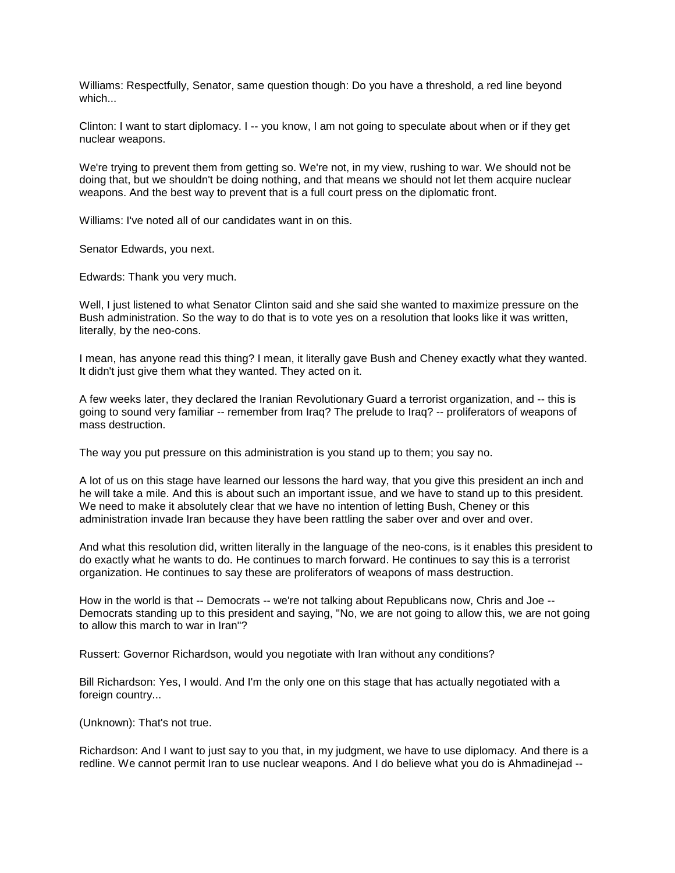Williams: Respectfully, Senator, same question though: Do you have a threshold, a red line beyond which...

Clinton: I want to start diplomacy. I -- you know, I am not going to speculate about when or if they get nuclear weapons.

We're trying to prevent them from getting so. We're not, in my view, rushing to war. We should not be doing that, but we shouldn't be doing nothing, and that means we should not let them acquire nuclear weapons. And the best way to prevent that is a full court press on the diplomatic front.

Williams: I've noted all of our candidates want in on this.

Senator Edwards, you next.

Edwards: Thank you very much.

Well, I just listened to what Senator Clinton said and she said she wanted to maximize pressure on the Bush administration. So the way to do that is to vote yes on a resolution that looks like it was written, literally, by the neo-cons.

I mean, has anyone read this thing? I mean, it literally gave Bush and Cheney exactly what they wanted. It didn't just give them what they wanted. They acted on it.

A few weeks later, they declared the Iranian Revolutionary Guard a terrorist organization, and -- this is going to sound very familiar -- remember from Iraq? The prelude to Iraq? -- proliferators of weapons of mass destruction.

The way you put pressure on this administration is you stand up to them; you say no.

A lot of us on this stage have learned our lessons the hard way, that you give this president an inch and he will take a mile. And this is about such an important issue, and we have to stand up to this president. We need to make it absolutely clear that we have no intention of letting Bush, Cheney or this administration invade Iran because they have been rattling the saber over and over and over.

And what this resolution did, written literally in the language of the neo-cons, is it enables this president to do exactly what he wants to do. He continues to march forward. He continues to say this is a terrorist organization. He continues to say these are proliferators of weapons of mass destruction.

How in the world is that -- Democrats -- we're not talking about Republicans now, Chris and Joe -- Democrats standing up to this president and saying, "No, we are not going to allow this, we are not going to allow this march to war in Iran"?

Russert: Governor Richardson, would you negotiate with Iran without any conditions?

Bill Richardson: Yes, I would. And I'm the only one on this stage that has actually negotiated with a foreign country...

(Unknown): That's not true.

Richardson: And I want to just say to you that, in my judgment, we have to use diplomacy. And there is a redline. We cannot permit Iran to use nuclear weapons. And I do believe what you do is Ahmadinejad --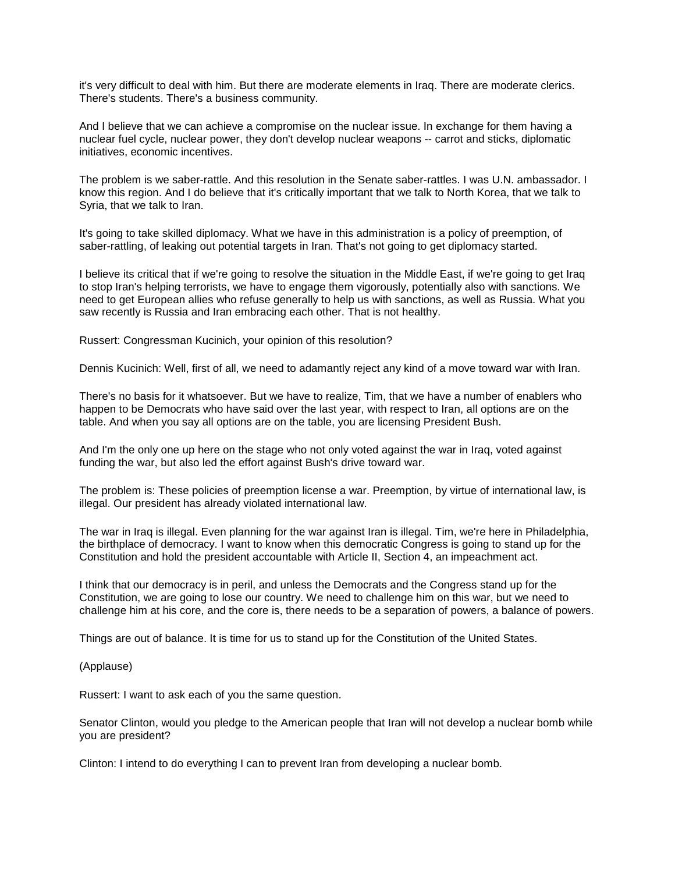it's very difficult to deal with him. But there are moderate elements in Iraq. There are moderate clerics. There's students. There's a business community.

And I believe that we can achieve a compromise on the nuclear issue. In exchange for them having a nuclear fuel cycle, nuclear power, they don't develop nuclear weapons -- carrot and sticks, diplomatic initiatives, economic incentives.

The problem is we saber-rattle. And this resolution in the Senate saber-rattles. I was U.N. ambassador. I know this region. And I do believe that it's critically important that we talk to North Korea, that we talk to Syria, that we talk to Iran.

It's going to take skilled diplomacy. What we have in this administration is a policy of preemption, of saber-rattling, of leaking out potential targets in Iran. That's not going to get diplomacy started.

I believe its critical that if we're going to resolve the situation in the Middle East, if we're going to get Iraq to stop Iran's helping terrorists, we have to engage them vigorously, potentially also with sanctions. We need to get European allies who refuse generally to help us with sanctions, as well as Russia. What you saw recently is Russia and Iran embracing each other. That is not healthy.

Russert: Congressman Kucinich, your opinion of this resolution?

Dennis Kucinich: Well, first of all, we need to adamantly reject any kind of a move toward war with Iran.

There's no basis for it whatsoever. But we have to realize, Tim, that we have a number of enablers who happen to be Democrats who have said over the last year, with respect to Iran, all options are on the table. And when you say all options are on the table, you are licensing President Bush.

And I'm the only one up here on the stage who not only voted against the war in Iraq, voted against funding the war, but also led the effort against Bush's drive toward war.

The problem is: These policies of preemption license a war. Preemption, by virtue of international law, is illegal. Our president has already violated international law.

The war in Iraq is illegal. Even planning for the war against Iran is illegal. Tim, we're here in Philadelphia, the birthplace of democracy. I want to know when this democratic Congress is going to stand up for the Constitution and hold the president accountable with Article II, Section 4, an impeachment act.

I think that our democracy is in peril, and unless the Democrats and the Congress stand up for the Constitution, we are going to lose our country. We need to challenge him on this war, but we need to challenge him at his core, and the core is, there needs to be a separation of powers, a balance of powers.

Things are out of balance. It is time for us to stand up for the Constitution of the United States.

(Applause)

Russert: I want to ask each of you the same question.

Senator Clinton, would you pledge to the American people that Iran will not develop a nuclear bomb while you are president?

Clinton: I intend to do everything I can to prevent Iran from developing a nuclear bomb.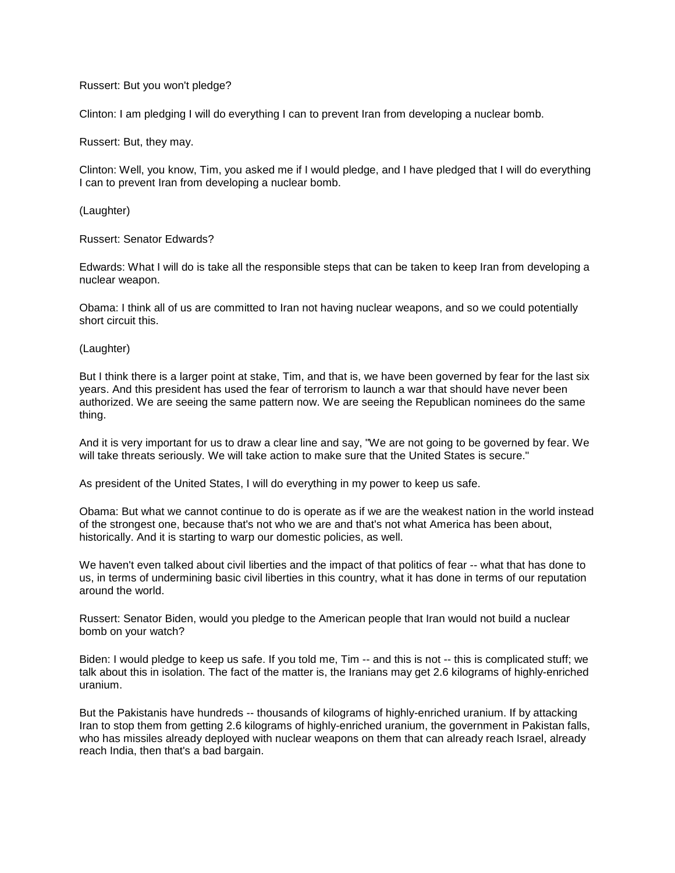# Russert: But you won't pledge?

Clinton: I am pledging I will do everything I can to prevent Iran from developing a nuclear bomb.

Russert: But, they may.

Clinton: Well, you know, Tim, you asked me if I would pledge, and I have pledged that I will do everything I can to prevent Iran from developing a nuclear bomb.

(Laughter)

Russert: Senator Edwards?

Edwards: What I will do is take all the responsible steps that can be taken to keep Iran from developing a nuclear weapon.

Obama: I think all of us are committed to Iran not having nuclear weapons, and so we could potentially short circuit this.

(Laughter)

But I think there is a larger point at stake, Tim, and that is, we have been governed by fear for the last six years. And this president has used the fear of terrorism to launch a war that should have never been authorized. We are seeing the same pattern now. We are seeing the Republican nominees do the same thing.

And it is very important for us to draw a clear line and say, "We are not going to be governed by fear. We will take threats seriously. We will take action to make sure that the United States is secure."

As president of the United States, I will do everything in my power to keep us safe.

Obama: But what we cannot continue to do is operate as if we are the weakest nation in the world instead of the strongest one, because that's not who we are and that's not what America has been about, historically. And it is starting to warp our domestic policies, as well.

We haven't even talked about civil liberties and the impact of that politics of fear -- what that has done to us, in terms of undermining basic civil liberties in this country, what it has done in terms of our reputation around the world.

Russert: Senator Biden, would you pledge to the American people that Iran would not build a nuclear bomb on your watch?

Biden: I would pledge to keep us safe. If you told me, Tim -- and this is not -- this is complicated stuff; we talk about this in isolation. The fact of the matter is, the Iranians may get 2.6 kilograms of highly-enriched uranium.

But the Pakistanis have hundreds -- thousands of kilograms of highly-enriched uranium. If by attacking Iran to stop them from getting 2.6 kilograms of highly-enriched uranium, the government in Pakistan falls, who has missiles already deployed with nuclear weapons on them that can already reach Israel, already reach India, then that's a bad bargain.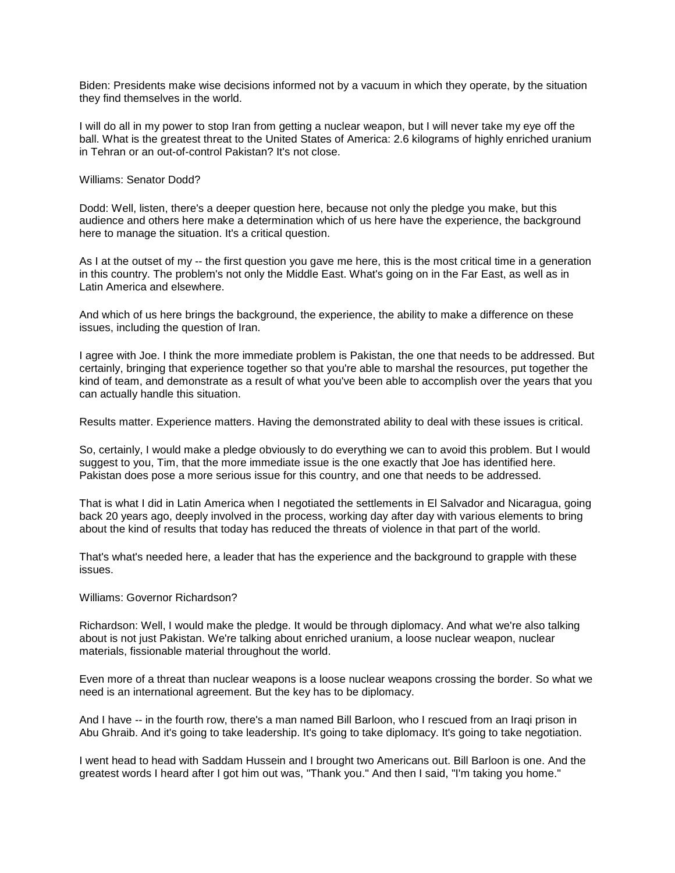Biden: Presidents make wise decisions informed not by a vacuum in which they operate, by the situation they find themselves in the world.

I will do all in my power to stop Iran from getting a nuclear weapon, but I will never take my eye off the ball. What is the greatest threat to the United States of America: 2.6 kilograms of highly enriched uranium in Tehran or an out-of-control Pakistan? It's not close.

## Williams: Senator Dodd?

Dodd: Well, listen, there's a deeper question here, because not only the pledge you make, but this audience and others here make a determination which of us here have the experience, the background here to manage the situation. It's a critical question.

As I at the outset of my -- the first question you gave me here, this is the most critical time in a generation in this country. The problem's not only the Middle East. What's going on in the Far East, as well as in Latin America and elsewhere.

And which of us here brings the background, the experience, the ability to make a difference on these issues, including the question of Iran.

I agree with Joe. I think the more immediate problem is Pakistan, the one that needs to be addressed. But certainly, bringing that experience together so that you're able to marshal the resources, put together the kind of team, and demonstrate as a result of what you've been able to accomplish over the years that you can actually handle this situation.

Results matter. Experience matters. Having the demonstrated ability to deal with these issues is critical.

So, certainly, I would make a pledge obviously to do everything we can to avoid this problem. But I would suggest to you. Tim, that the more immediate issue is the one exactly that Joe has identified here. Pakistan does pose a more serious issue for this country, and one that needs to be addressed.

That is what I did in Latin America when I negotiated the settlements in El Salvador and Nicaragua, going back 20 years ago, deeply involved in the process, working day after day with various elements to bring about the kind of results that today has reduced the threats of violence in that part of the world.

That's what's needed here, a leader that has the experience and the background to grapple with these issues.

#### Williams: Governor Richardson?

Richardson: Well, I would make the pledge. It would be through diplomacy. And what we're also talking about is not just Pakistan. We're talking about enriched uranium, a loose nuclear weapon, nuclear materials, fissionable material throughout the world.

Even more of a threat than nuclear weapons is a loose nuclear weapons crossing the border. So what we need is an international agreement. But the key has to be diplomacy.

And I have -- in the fourth row, there's a man named Bill Barloon, who I rescued from an Iraqi prison in Abu Ghraib. And it's going to take leadership. It's going to take diplomacy. It's going to take negotiation.

I went head to head with Saddam Hussein and I brought two Americans out. Bill Barloon is one. And the greatest words I heard after I got him out was, "Thank you." And then I said, "I'm taking you home."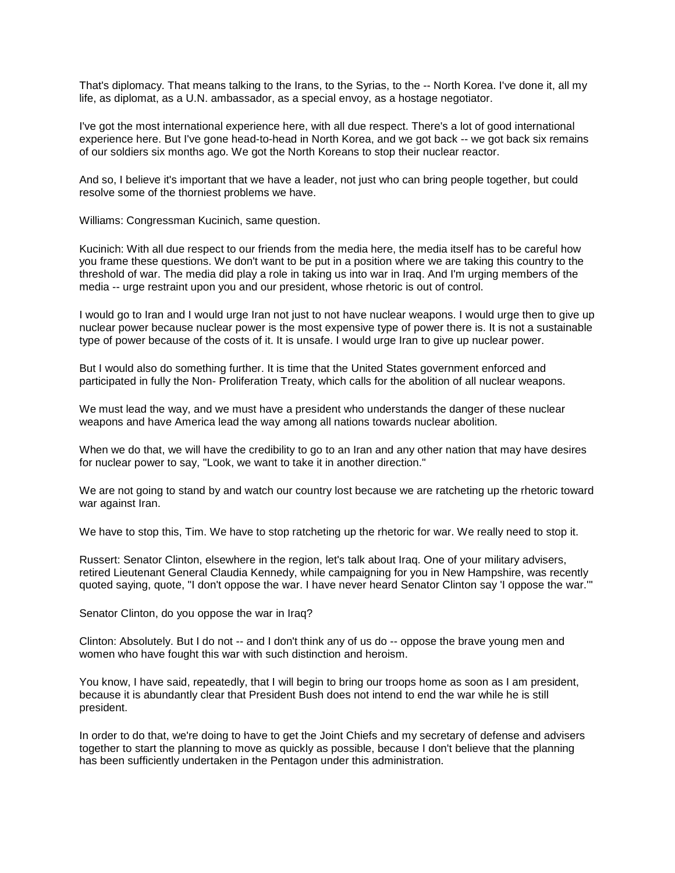That's diplomacy. That means talking to the Irans, to the Syrias, to the -- North Korea. I've done it, all my life, as diplomat, as a U.N. ambassador, as a special envoy, as a hostage negotiator.

I've got the most international experience here, with all due respect. There's a lot of good international experience here. But I've gone head-to-head in North Korea, and we got back -- we got back six remains of our soldiers six months ago. We got the North Koreans to stop their nuclear reactor.

And so, I believe it's important that we have a leader, not just who can bring people together, but could resolve some of the thorniest problems we have.

Williams: Congressman Kucinich, same question.

Kucinich: With all due respect to our friends from the media here, the media itself has to be careful how you frame these questions. We don't want to be put in a position where we are taking this country to the threshold of war. The media did play a role in taking us into war in Iraq. And I'm urging members of the media -- urge restraint upon you and our president, whose rhetoric is out of control.

I would go to Iran and I would urge Iran not just to not have nuclear weapons. I would urge then to give up nuclear power because nuclear power is the most expensive type of power there is. It is not a sustainable type of power because of the costs of it. It is unsafe. I would urge Iran to give up nuclear power.

But I would also do something further. It is time that the United States government enforced and participated in fully the Non- Proliferation Treaty, which calls for the abolition of all nuclear weapons.

We must lead the way, and we must have a president who understands the danger of these nuclear weapons and have America lead the way among all nations towards nuclear abolition.

When we do that, we will have the credibility to go to an Iran and any other nation that may have desires for nuclear power to say, "Look, we want to take it in another direction."

We are not going to stand by and watch our country lost because we are ratcheting up the rhetoric toward war against Iran.

We have to stop this, Tim. We have to stop ratcheting up the rhetoric for war. We really need to stop it.

Russert: Senator Clinton, elsewhere in the region, let's talk about Iraq. One of your military advisers, retired Lieutenant General Claudia Kennedy, while campaigning for you in New Hampshire, was recently quoted saying, quote, "I don't oppose the war. I have never heard Senator Clinton say 'I oppose the war.'"

Senator Clinton, do you oppose the war in Iraq?

Clinton: Absolutely. But I do not -- and I don't think any of us do -- oppose the brave young men and women who have fought this war with such distinction and heroism.

You know, I have said, repeatedly, that I will begin to bring our troops home as soon as I am president, because it is abundantly clear that President Bush does not intend to end the war while he is still president.

In order to do that, we're doing to have to get the Joint Chiefs and my secretary of defense and advisers together to start the planning to move as quickly as possible, because I don't believe that the planning has been sufficiently undertaken in the Pentagon under this administration.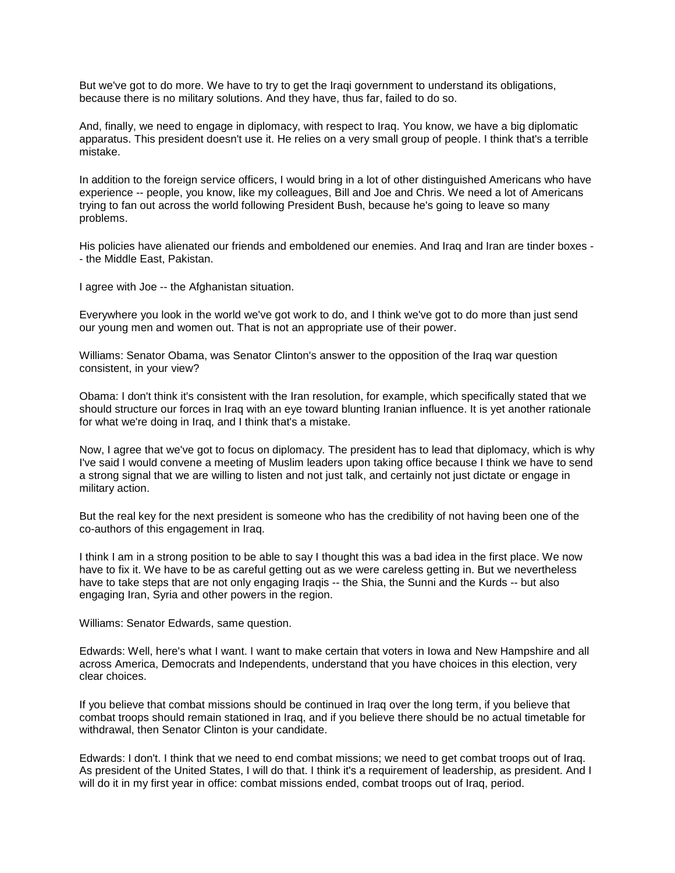But we've got to do more. We have to try to get the Iraqi government to understand its obligations, because there is no military solutions. And they have, thus far, failed to do so.

And, finally, we need to engage in diplomacy, with respect to Iraq. You know, we have a big diplomatic apparatus. This president doesn't use it. He relies on a very small group of people. I think that's a terrible mistake.

In addition to the foreign service officers, I would bring in a lot of other distinguished Americans who have experience -- people, you know, like my colleagues, Bill and Joe and Chris. We need a lot of Americans trying to fan out across the world following President Bush, because he's going to leave so many problems.

His policies have alienated our friends and emboldened our enemies. And Iraq and Iran are tinder boxes - - the Middle East, Pakistan.

I agree with Joe -- the Afghanistan situation.

Everywhere you look in the world we've got work to do, and I think we've got to do more than just send our young men and women out. That is not an appropriate use of their power.

Williams: Senator Obama, was Senator Clinton's answer to the opposition of the Iraq war question consistent, in your view?

Obama: I don't think it's consistent with the Iran resolution, for example, which specifically stated that we should structure our forces in Iraq with an eye toward blunting Iranian influence. It is yet another rationale for what we're doing in Iraq, and I think that's a mistake.

Now, I agree that we've got to focus on diplomacy. The president has to lead that diplomacy, which is why I've said I would convene a meeting of Muslim leaders upon taking office because I think we have to send a strong signal that we are willing to listen and not just talk, and certainly not just dictate or engage in military action.

But the real key for the next president is someone who has the credibility of not having been one of the co-authors of this engagement in Iraq.

I think I am in a strong position to be able to say I thought this was a bad idea in the first place. We now have to fix it. We have to be as careful getting out as we were careless getting in. But we nevertheless have to take steps that are not only engaging Iraqis -- the Shia, the Sunni and the Kurds -- but also engaging Iran, Syria and other powers in the region.

Williams: Senator Edwards, same question.

Edwards: Well, here's what I want. I want to make certain that voters in Iowa and New Hampshire and all across America, Democrats and Independents, understand that you have choices in this election, very clear choices.

If you believe that combat missions should be continued in Iraq over the long term, if you believe that combat troops should remain stationed in Iraq, and if you believe there should be no actual timetable for withdrawal, then Senator Clinton is your candidate.

Edwards: I don't. I think that we need to end combat missions; we need to get combat troops out of Iraq. As president of the United States, I will do that. I think it's a requirement of leadership, as president. And I will do it in my first year in office: combat missions ended, combat troops out of Iraq, period.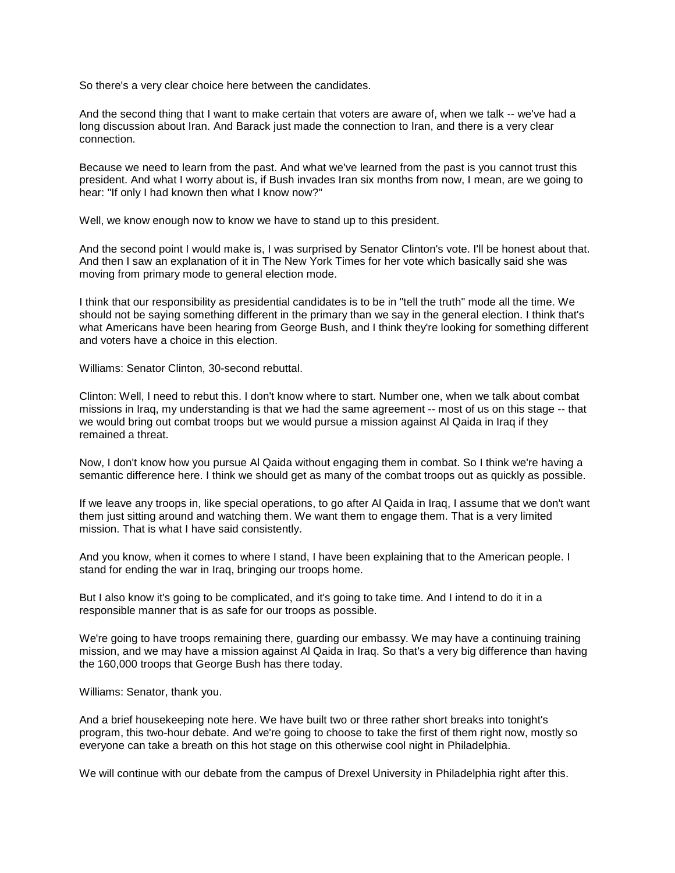So there's a very clear choice here between the candidates.

And the second thing that I want to make certain that voters are aware of, when we talk -- we've had a long discussion about Iran. And Barack just made the connection to Iran, and there is a very clear connection.

Because we need to learn from the past. And what we've learned from the past is you cannot trust this president. And what I worry about is, if Bush invades Iran six months from now, I mean, are we going to hear: "If only I had known then what I know now?"

Well, we know enough now to know we have to stand up to this president.

And the second point I would make is, I was surprised by Senator Clinton's vote. I'll be honest about that. And then I saw an explanation of it in The New York Times for her vote which basically said she was moving from primary mode to general election mode.

I think that our responsibility as presidential candidates is to be in "tell the truth" mode all the time. We should not be saying something different in the primary than we say in the general election. I think that's what Americans have been hearing from George Bush, and I think they're looking for something different and voters have a choice in this election.

Williams: Senator Clinton, 30-second rebuttal.

Clinton: Well, I need to rebut this. I don't know where to start. Number one, when we talk about combat missions in Iraq, my understanding is that we had the same agreement -- most of us on this stage -- that we would bring out combat troops but we would pursue a mission against Al Qaida in Iraq if they remained a threat.

Now, I don't know how you pursue Al Qaida without engaging them in combat. So I think we're having a semantic difference here. I think we should get as many of the combat troops out as quickly as possible.

If we leave any troops in, like special operations, to go after Al Qaida in Iraq, I assume that we don't want them just sitting around and watching them. We want them to engage them. That is a very limited mission. That is what I have said consistently.

And you know, when it comes to where I stand, I have been explaining that to the American people. I stand for ending the war in Iraq, bringing our troops home.

But I also know it's going to be complicated, and it's going to take time. And I intend to do it in a responsible manner that is as safe for our troops as possible.

We're going to have troops remaining there, guarding our embassy. We may have a continuing training mission, and we may have a mission against Al Qaida in Iraq. So that's a very big difference than having the 160,000 troops that George Bush has there today.

Williams: Senator, thank you.

And a brief housekeeping note here. We have built two or three rather short breaks into tonight's program, this two-hour debate. And we're going to choose to take the first of them right now, mostly so everyone can take a breath on this hot stage on this otherwise cool night in Philadelphia.

We will continue with our debate from the campus of Drexel University in Philadelphia right after this.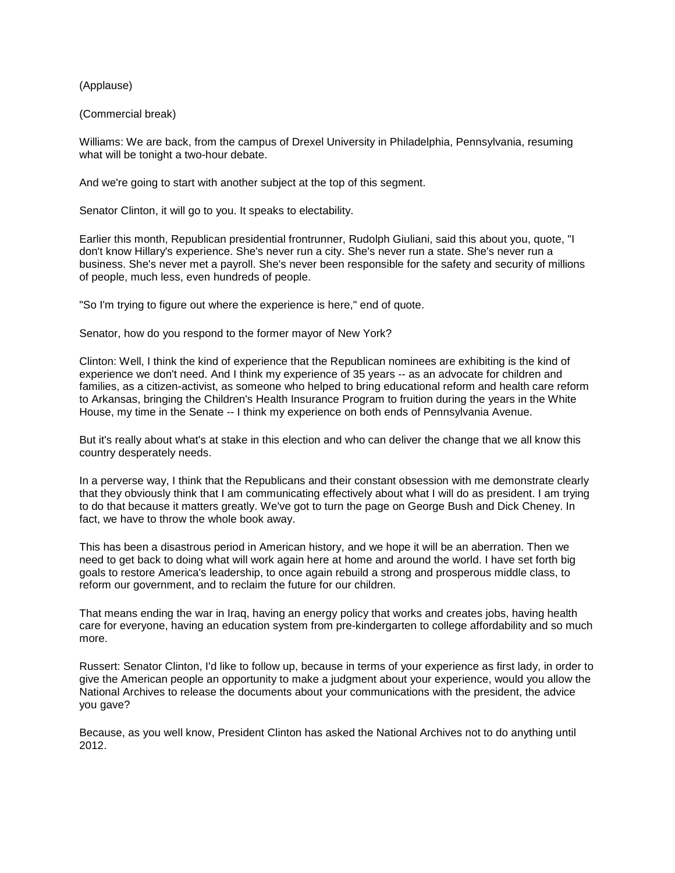(Applause)

(Commercial break)

Williams: We are back, from the campus of Drexel University in Philadelphia, Pennsylvania, resuming what will be tonight a two-hour debate.

And we're going to start with another subject at the top of this segment.

Senator Clinton, it will go to you. It speaks to electability.

Earlier this month, Republican presidential frontrunner, Rudolph Giuliani, said this about you, quote, "I don't know Hillary's experience. She's never run a city. She's never run a state. She's never run a business. She's never met a payroll. She's never been responsible for the safety and security of millions of people, much less, even hundreds of people.

"So I'm trying to figure out where the experience is here," end of quote.

Senator, how do you respond to the former mayor of New York?

Clinton: Well, I think the kind of experience that the Republican nominees are exhibiting is the kind of experience we don't need. And I think my experience of 35 years -- as an advocate for children and families, as a citizen-activist, as someone who helped to bring educational reform and health care reform to Arkansas, bringing the Children's Health Insurance Program to fruition during the years in the White House, my time in the Senate -- I think my experience on both ends of Pennsylvania Avenue.

But it's really about what's at stake in this election and who can deliver the change that we all know this country desperately needs.

In a perverse way, I think that the Republicans and their constant obsession with me demonstrate clearly that they obviously think that I am communicating effectively about what I will do as president. I am trying to do that because it matters greatly. We've got to turn the page on George Bush and Dick Cheney. In fact, we have to throw the whole book away.

This has been a disastrous period in American history, and we hope it will be an aberration. Then we need to get back to doing what will work again here at home and around the world. I have set forth big goals to restore America's leadership, to once again rebuild a strong and prosperous middle class, to reform our government, and to reclaim the future for our children.

That means ending the war in Iraq, having an energy policy that works and creates jobs, having health care for everyone, having an education system from pre-kindergarten to college affordability and so much more.

Russert: Senator Clinton, I'd like to follow up, because in terms of your experience as first lady, in order to give the American people an opportunity to make a judgment about your experience, would you allow the National Archives to release the documents about your communications with the president, the advice you gave?

Because, as you well know, President Clinton has asked the National Archives not to do anything until 2012.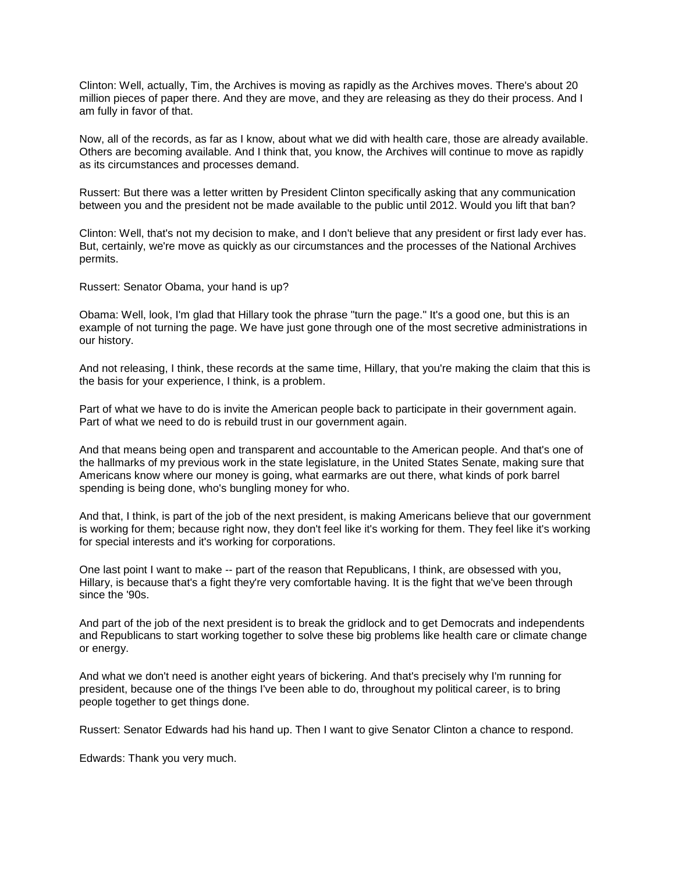Clinton: Well, actually, Tim, the Archives is moving as rapidly as the Archives moves. There's about 20 million pieces of paper there. And they are move, and they are releasing as they do their process. And I am fully in favor of that.

Now, all of the records, as far as I know, about what we did with health care, those are already available. Others are becoming available. And I think that, you know, the Archives will continue to move as rapidly as its circumstances and processes demand.

Russert: But there was a letter written by President Clinton specifically asking that any communication between you and the president not be made available to the public until 2012. Would you lift that ban?

Clinton: Well, that's not my decision to make, and I don't believe that any president or first lady ever has. But, certainly, we're move as quickly as our circumstances and the processes of the National Archives permits.

Russert: Senator Obama, your hand is up?

Obama: Well, look, I'm glad that Hillary took the phrase "turn the page." It's a good one, but this is an example of not turning the page. We have just gone through one of the most secretive administrations in our history.

And not releasing, I think, these records at the same time, Hillary, that you're making the claim that this is the basis for your experience, I think, is a problem.

Part of what we have to do is invite the American people back to participate in their government again. Part of what we need to do is rebuild trust in our government again.

And that means being open and transparent and accountable to the American people. And that's one of the hallmarks of my previous work in the state legislature, in the United States Senate, making sure that Americans know where our money is going, what earmarks are out there, what kinds of pork barrel spending is being done, who's bungling money for who.

And that, I think, is part of the job of the next president, is making Americans believe that our government is working for them; because right now, they don't feel like it's working for them. They feel like it's working for special interests and it's working for corporations.

One last point I want to make -- part of the reason that Republicans, I think, are obsessed with you, Hillary, is because that's a fight they're very comfortable having. It is the fight that we've been through since the '90s.

And part of the job of the next president is to break the gridlock and to get Democrats and independents and Republicans to start working together to solve these big problems like health care or climate change or energy.

And what we don't need is another eight years of bickering. And that's precisely why I'm running for president, because one of the things I've been able to do, throughout my political career, is to bring people together to get things done.

Russert: Senator Edwards had his hand up. Then I want to give Senator Clinton a chance to respond.

Edwards: Thank you very much.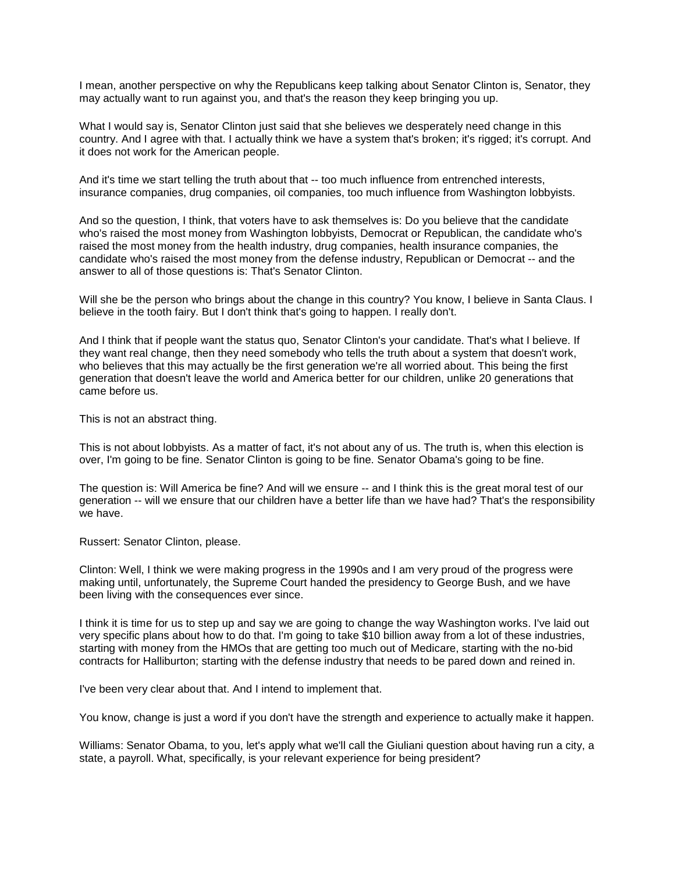I mean, another perspective on why the Republicans keep talking about Senator Clinton is, Senator, they may actually want to run against you, and that's the reason they keep bringing you up.

What I would say is, Senator Clinton just said that she believes we desperately need change in this country. And I agree with that. I actually think we have a system that's broken; it's rigged; it's corrupt. And it does not work for the American people.

And it's time we start telling the truth about that -- too much influence from entrenched interests, insurance companies, drug companies, oil companies, too much influence from Washington lobbyists.

And so the question, I think, that voters have to ask themselves is: Do you believe that the candidate who's raised the most money from Washington lobbyists, Democrat or Republican, the candidate who's raised the most money from the health industry, drug companies, health insurance companies, the candidate who's raised the most money from the defense industry, Republican or Democrat -- and the answer to all of those questions is: That's Senator Clinton.

Will she be the person who brings about the change in this country? You know, I believe in Santa Claus. I believe in the tooth fairy. But I don't think that's going to happen. I really don't.

And I think that if people want the status quo, Senator Clinton's your candidate. That's what I believe. If they want real change, then they need somebody who tells the truth about a system that doesn't work, who believes that this may actually be the first generation we're all worried about. This being the first generation that doesn't leave the world and America better for our children, unlike 20 generations that came before us.

This is not an abstract thing.

This is not about lobbyists. As a matter of fact, it's not about any of us. The truth is, when this election is over, I'm going to be fine. Senator Clinton is going to be fine. Senator Obama's going to be fine.

The question is: Will America be fine? And will we ensure -- and I think this is the great moral test of our generation -- will we ensure that our children have a better life than we have had? That's the responsibility we have.

Russert: Senator Clinton, please.

Clinton: Well, I think we were making progress in the 1990s and I am very proud of the progress were making until, unfortunately, the Supreme Court handed the presidency to George Bush, and we have been living with the consequences ever since.

I think it is time for us to step up and say we are going to change the way Washington works. I've laid out very specific plans about how to do that. I'm going to take \$10 billion away from a lot of these industries, starting with money from the HMOs that are getting too much out of Medicare, starting with the no-bid contracts for Halliburton; starting with the defense industry that needs to be pared down and reined in.

I've been very clear about that. And I intend to implement that.

You know, change is just a word if you don't have the strength and experience to actually make it happen.

Williams: Senator Obama, to you, let's apply what we'll call the Giuliani question about having run a city, a state, a payroll. What, specifically, is your relevant experience for being president?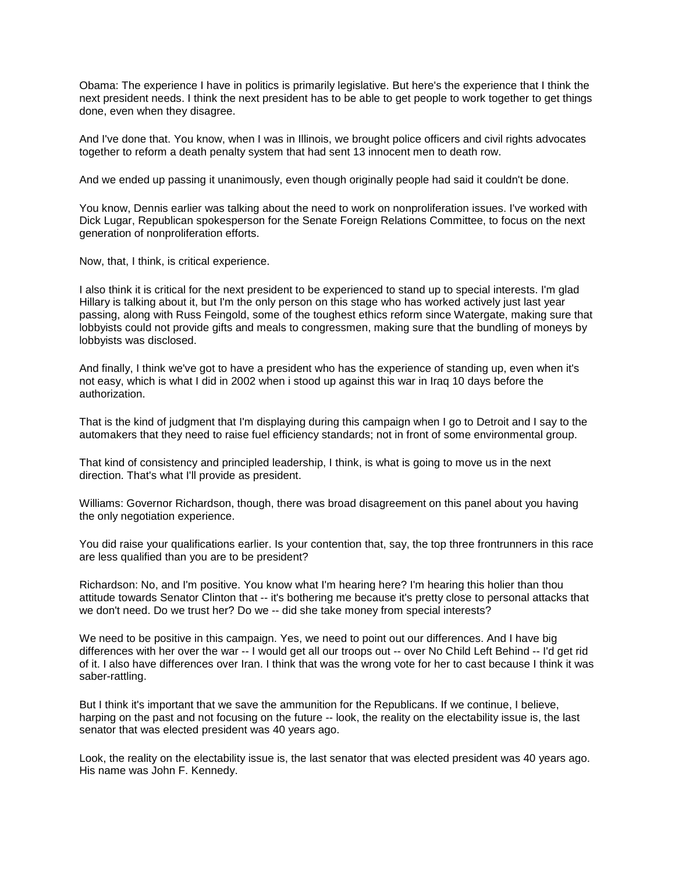Obama: The experience I have in politics is primarily legislative. But here's the experience that I think the next president needs. I think the next president has to be able to get people to work together to get things done, even when they disagree.

And I've done that. You know, when I was in Illinois, we brought police officers and civil rights advocates together to reform a death penalty system that had sent 13 innocent men to death row.

And we ended up passing it unanimously, even though originally people had said it couldn't be done.

You know, Dennis earlier was talking about the need to work on nonproliferation issues. I've worked with Dick Lugar, Republican spokesperson for the Senate Foreign Relations Committee, to focus on the next generation of nonproliferation efforts.

Now, that, I think, is critical experience.

I also think it is critical for the next president to be experienced to stand up to special interests. I'm glad Hillary is talking about it, but I'm the only person on this stage who has worked actively just last year passing, along with Russ Feingold, some of the toughest ethics reform since Watergate, making sure that lobbyists could not provide gifts and meals to congressmen, making sure that the bundling of moneys by lobbyists was disclosed.

And finally, I think we've got to have a president who has the experience of standing up, even when it's not easy, which is what I did in 2002 when i stood up against this war in Iraq 10 days before the authorization.

That is the kind of judgment that I'm displaying during this campaign when I go to Detroit and I say to the automakers that they need to raise fuel efficiency standards; not in front of some environmental group.

That kind of consistency and principled leadership, I think, is what is going to move us in the next direction. That's what I'll provide as president.

Williams: Governor Richardson, though, there was broad disagreement on this panel about you having the only negotiation experience.

You did raise your qualifications earlier. Is your contention that, say, the top three frontrunners in this race are less qualified than you are to be president?

Richardson: No, and I'm positive. You know what I'm hearing here? I'm hearing this holier than thou attitude towards Senator Clinton that -- it's bothering me because it's pretty close to personal attacks that we don't need. Do we trust her? Do we -- did she take money from special interests?

We need to be positive in this campaign. Yes, we need to point out our differences. And I have big differences with her over the war -- I would get all our troops out -- over No Child Left Behind -- I'd get rid of it. I also have differences over Iran. I think that was the wrong vote for her to cast because I think it was saber-rattling.

But I think it's important that we save the ammunition for the Republicans. If we continue, I believe, harping on the past and not focusing on the future -- look, the reality on the electability issue is, the last senator that was elected president was 40 years ago.

Look, the reality on the electability issue is, the last senator that was elected president was 40 years ago. His name was John F. Kennedy.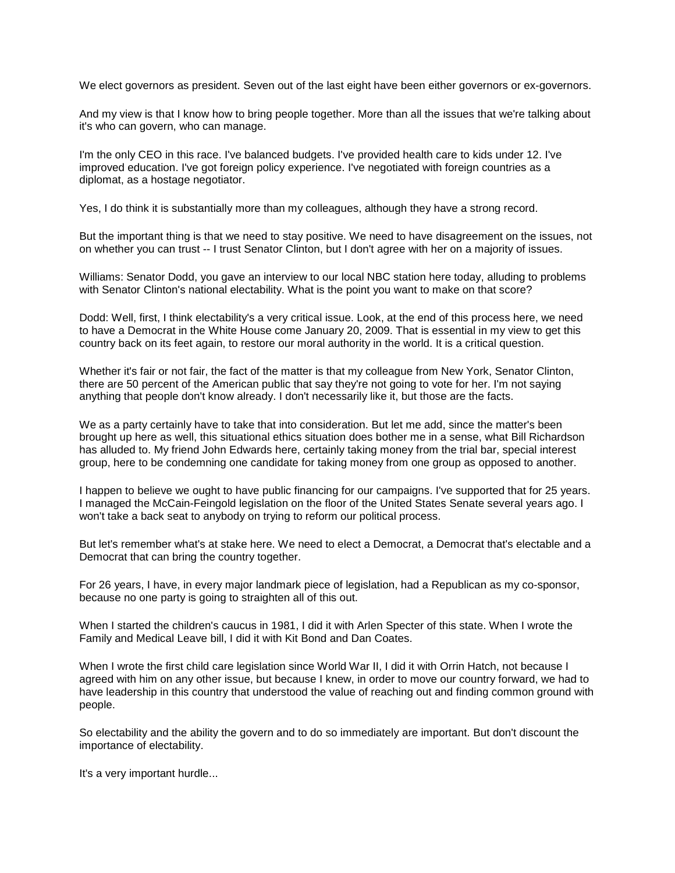We elect governors as president. Seven out of the last eight have been either governors or ex-governors.

And my view is that I know how to bring people together. More than all the issues that we're talking about it's who can govern, who can manage.

I'm the only CEO in this race. I've balanced budgets. I've provided health care to kids under 12. I've improved education. I've got foreign policy experience. I've negotiated with foreign countries as a diplomat, as a hostage negotiator.

Yes, I do think it is substantially more than my colleagues, although they have a strong record.

But the important thing is that we need to stay positive. We need to have disagreement on the issues, not on whether you can trust -- I trust Senator Clinton, but I don't agree with her on a majority of issues.

Williams: Senator Dodd, you gave an interview to our local NBC station here today, alluding to problems with Senator Clinton's national electability. What is the point you want to make on that score?

Dodd: Well, first, I think electability's a very critical issue. Look, at the end of this process here, we need to have a Democrat in the White House come January 20, 2009. That is essential in my view to get this country back on its feet again, to restore our moral authority in the world. It is a critical question.

Whether it's fair or not fair, the fact of the matter is that my colleague from New York, Senator Clinton, there are 50 percent of the American public that say they're not going to vote for her. I'm not saying anything that people don't know already. I don't necessarily like it, but those are the facts.

We as a party certainly have to take that into consideration. But let me add, since the matter's been brought up here as well, this situational ethics situation does bother me in a sense, what Bill Richardson has alluded to. My friend John Edwards here, certainly taking money from the trial bar, special interest group, here to be condemning one candidate for taking money from one group as opposed to another.

I happen to believe we ought to have public financing for our campaigns. I've supported that for 25 years. I managed the McCain-Feingold legislation on the floor of the United States Senate several years ago. I won't take a back seat to anybody on trying to reform our political process.

But let's remember what's at stake here. We need to elect a Democrat, a Democrat that's electable and a Democrat that can bring the country together.

For 26 years, I have, in every major landmark piece of legislation, had a Republican as my co-sponsor, because no one party is going to straighten all of this out.

When I started the children's caucus in 1981, I did it with Arlen Specter of this state. When I wrote the Family and Medical Leave bill, I did it with Kit Bond and Dan Coates.

When I wrote the first child care legislation since World War II, I did it with Orrin Hatch, not because I agreed with him on any other issue, but because I knew, in order to move our country forward, we had to have leadership in this country that understood the value of reaching out and finding common ground with people.

So electability and the ability the govern and to do so immediately are important. But don't discount the importance of electability.

It's a very important hurdle...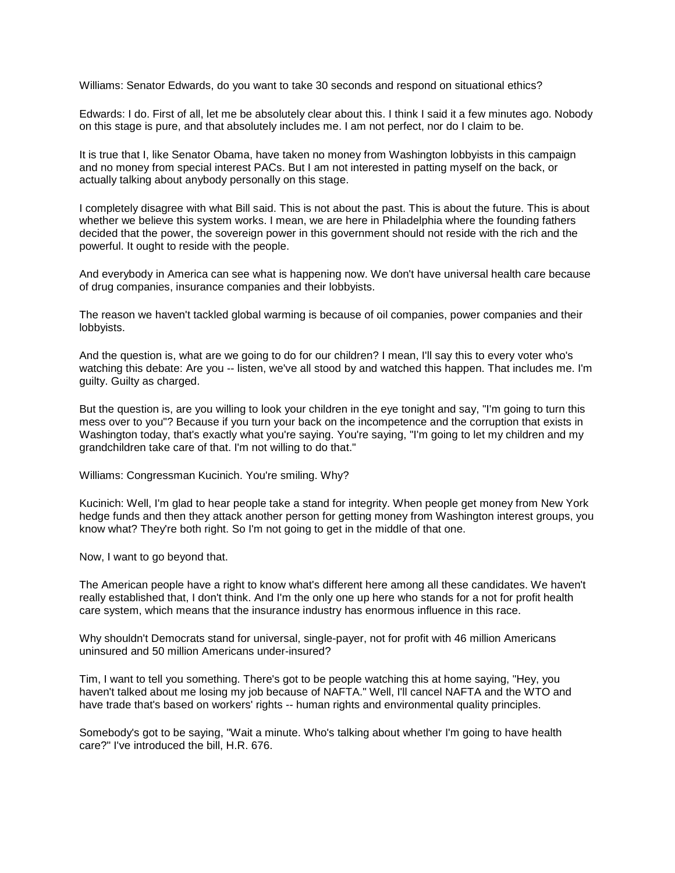Williams: Senator Edwards, do you want to take 30 seconds and respond on situational ethics?

Edwards: I do. First of all, let me be absolutely clear about this. I think I said it a few minutes ago. Nobody on this stage is pure, and that absolutely includes me. I am not perfect, nor do I claim to be.

It is true that I, like Senator Obama, have taken no money from Washington lobbyists in this campaign and no money from special interest PACs. But I am not interested in patting myself on the back, or actually talking about anybody personally on this stage.

I completely disagree with what Bill said. This is not about the past. This is about the future. This is about whether we believe this system works. I mean, we are here in Philadelphia where the founding fathers decided that the power, the sovereign power in this government should not reside with the rich and the powerful. It ought to reside with the people.

And everybody in America can see what is happening now. We don't have universal health care because of drug companies, insurance companies and their lobbyists.

The reason we haven't tackled global warming is because of oil companies, power companies and their lobbyists.

And the question is, what are we going to do for our children? I mean, I'll say this to every voter who's watching this debate: Are you -- listen, we've all stood by and watched this happen. That includes me. I'm guilty. Guilty as charged.

But the question is, are you willing to look your children in the eye tonight and say, "I'm going to turn this mess over to you"? Because if you turn your back on the incompetence and the corruption that exists in Washington today, that's exactly what you're saying. You're saying, "I'm going to let my children and my grandchildren take care of that. I'm not willing to do that."

Williams: Congressman Kucinich. You're smiling. Why?

Kucinich: Well, I'm glad to hear people take a stand for integrity. When people get money from New York hedge funds and then they attack another person for getting money from Washington interest groups, you know what? They're both right. So I'm not going to get in the middle of that one.

Now, I want to go beyond that.

The American people have a right to know what's different here among all these candidates. We haven't really established that, I don't think. And I'm the only one up here who stands for a not for profit health care system, which means that the insurance industry has enormous influence in this race.

Why shouldn't Democrats stand for universal, single-payer, not for profit with 46 million Americans uninsured and 50 million Americans under-insured?

Tim, I want to tell you something. There's got to be people watching this at home saying, "Hey, you haven't talked about me losing my job because of NAFTA." Well, I'll cancel NAFTA and the WTO and have trade that's based on workers' rights -- human rights and environmental quality principles.

Somebody's got to be saying, "Wait a minute. Who's talking about whether I'm going to have health care?" I've introduced the bill, H.R. 676.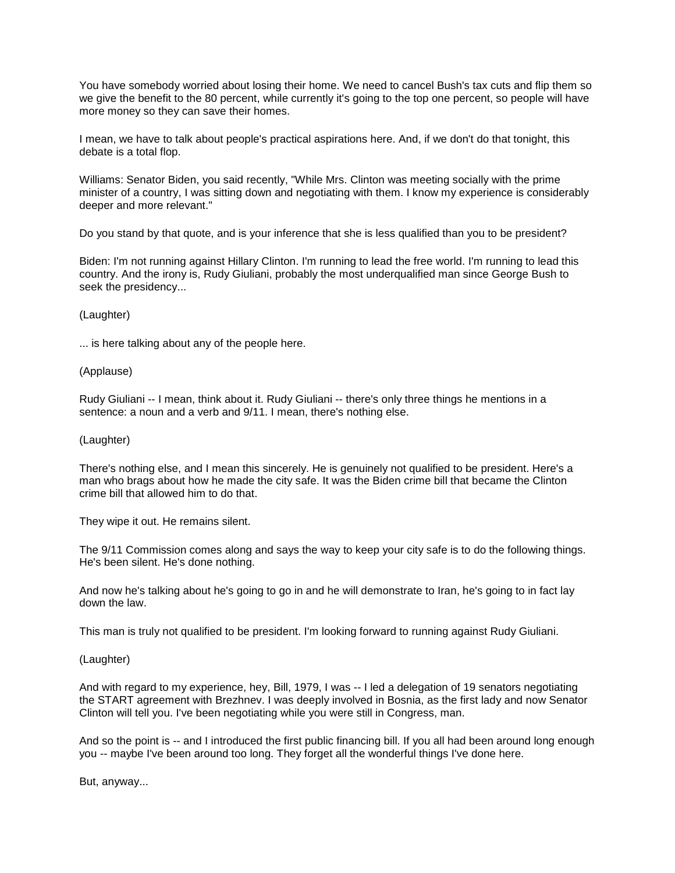You have somebody worried about losing their home. We need to cancel Bush's tax cuts and flip them so we give the benefit to the 80 percent, while currently it's going to the top one percent, so people will have more money so they can save their homes.

I mean, we have to talk about people's practical aspirations here. And, if we don't do that tonight, this debate is a total flop.

Williams: Senator Biden, you said recently, "While Mrs. Clinton was meeting socially with the prime minister of a country, I was sitting down and negotiating with them. I know my experience is considerably deeper and more relevant."

Do you stand by that quote, and is your inference that she is less qualified than you to be president?

Biden: I'm not running against Hillary Clinton. I'm running to lead the free world. I'm running to lead this country. And the irony is, Rudy Giuliani, probably the most underqualified man since George Bush to seek the presidency...

(Laughter)

... is here talking about any of the people here.

(Applause)

Rudy Giuliani -- I mean, think about it. Rudy Giuliani -- there's only three things he mentions in a sentence: a noun and a verb and 9/11. I mean, there's nothing else.

(Laughter)

There's nothing else, and I mean this sincerely. He is genuinely not qualified to be president. Here's a man who brags about how he made the city safe. It was the Biden crime bill that became the Clinton crime bill that allowed him to do that.

They wipe it out. He remains silent.

The 9/11 Commission comes along and says the way to keep your city safe is to do the following things. He's been silent. He's done nothing.

And now he's talking about he's going to go in and he will demonstrate to Iran, he's going to in fact lay down the law.

This man is truly not qualified to be president. I'm looking forward to running against Rudy Giuliani.

(Laughter)

And with regard to my experience, hey, Bill, 1979, I was -- I led a delegation of 19 senators negotiating the START agreement with Brezhnev. I was deeply involved in Bosnia, as the first lady and now Senator Clinton will tell you. I've been negotiating while you were still in Congress, man.

And so the point is -- and I introduced the first public financing bill. If you all had been around long enough you -- maybe I've been around too long. They forget all the wonderful things I've done here.

But, anyway...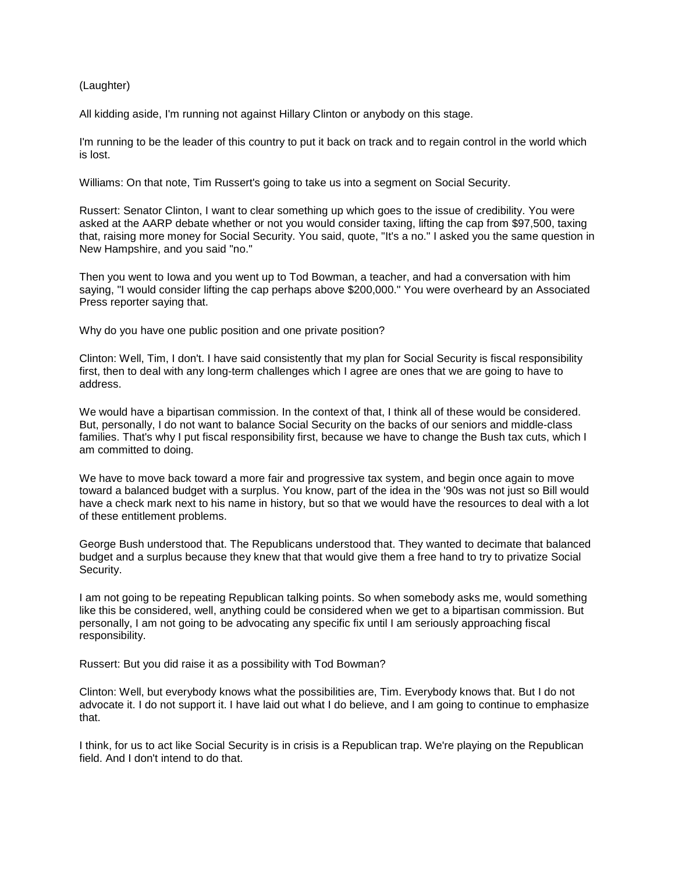# (Laughter)

All kidding aside, I'm running not against Hillary Clinton or anybody on this stage.

I'm running to be the leader of this country to put it back on track and to regain control in the world which is lost.

Williams: On that note, Tim Russert's going to take us into a segment on Social Security.

Russert: Senator Clinton, I want to clear something up which goes to the issue of credibility. You were asked at the AARP debate whether or not you would consider taxing, lifting the cap from \$97,500, taxing that, raising more money for Social Security. You said, quote, "It's a no." I asked you the same question in New Hampshire, and you said "no."

Then you went to Iowa and you went up to Tod Bowman, a teacher, and had a conversation with him saying, "I would consider lifting the cap perhaps above \$200,000." You were overheard by an Associated Press reporter saying that.

Why do you have one public position and one private position?

Clinton: Well, Tim, I don't. I have said consistently that my plan for Social Security is fiscal responsibility first, then to deal with any long-term challenges which I agree are ones that we are going to have to address.

We would have a bipartisan commission. In the context of that, I think all of these would be considered. But, personally, I do not want to balance Social Security on the backs of our seniors and middle-class families. That's why I put fiscal responsibility first, because we have to change the Bush tax cuts, which I am committed to doing.

We have to move back toward a more fair and progressive tax system, and begin once again to move toward a balanced budget with a surplus. You know, part of the idea in the '90s was not just so Bill would have a check mark next to his name in history, but so that we would have the resources to deal with a lot of these entitlement problems.

George Bush understood that. The Republicans understood that. They wanted to decimate that balanced budget and a surplus because they knew that that would give them a free hand to try to privatize Social Security.

I am not going to be repeating Republican talking points. So when somebody asks me, would something like this be considered, well, anything could be considered when we get to a bipartisan commission. But personally, I am not going to be advocating any specific fix until I am seriously approaching fiscal responsibility.

Russert: But you did raise it as a possibility with Tod Bowman?

Clinton: Well, but everybody knows what the possibilities are, Tim. Everybody knows that. But I do not advocate it. I do not support it. I have laid out what I do believe, and I am going to continue to emphasize that.

I think, for us to act like Social Security is in crisis is a Republican trap. We're playing on the Republican field. And I don't intend to do that.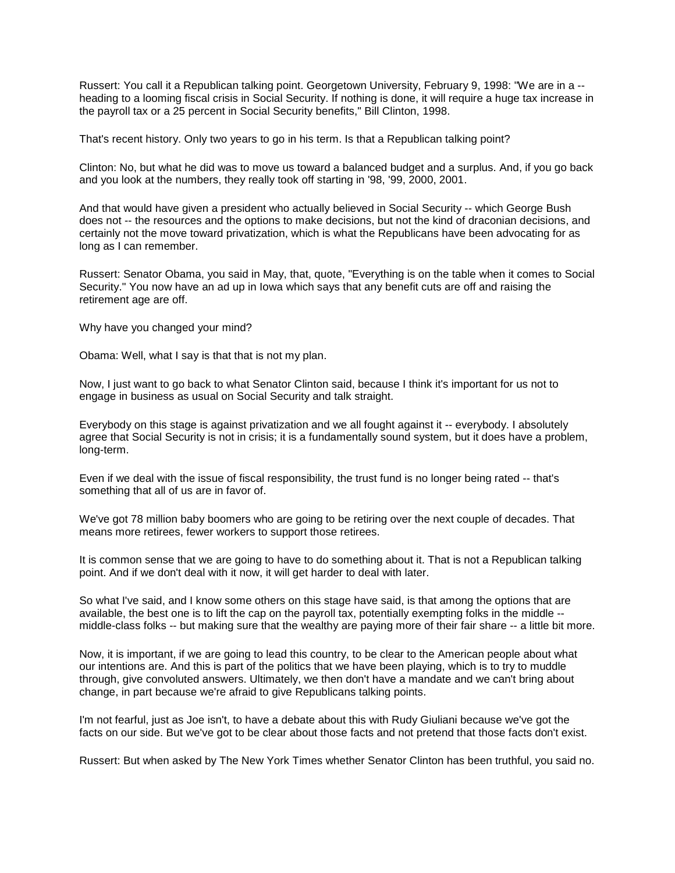Russert: You call it a Republican talking point. Georgetown University, February 9, 1998: "We are in a - heading to a looming fiscal crisis in Social Security. If nothing is done, it will require a huge tax increase in the payroll tax or a 25 percent in Social Security benefits," Bill Clinton, 1998.

That's recent history. Only two years to go in his term. Is that a Republican talking point?

Clinton: No, but what he did was to move us toward a balanced budget and a surplus. And, if you go back and you look at the numbers, they really took off starting in '98, '99, 2000, 2001.

And that would have given a president who actually believed in Social Security -- which George Bush does not -- the resources and the options to make decisions, but not the kind of draconian decisions, and certainly not the move toward privatization, which is what the Republicans have been advocating for as long as I can remember.

Russert: Senator Obama, you said in May, that, quote, "Everything is on the table when it comes to Social Security." You now have an ad up in Iowa which says that any benefit cuts are off and raising the retirement age are off.

Why have you changed your mind?

Obama: Well, what I say is that that is not my plan.

Now, I just want to go back to what Senator Clinton said, because I think it's important for us not to engage in business as usual on Social Security and talk straight.

Everybody on this stage is against privatization and we all fought against it -- everybody. I absolutely agree that Social Security is not in crisis; it is a fundamentally sound system, but it does have a problem, long-term.

Even if we deal with the issue of fiscal responsibility, the trust fund is no longer being rated -- that's something that all of us are in favor of.

We've got 78 million baby boomers who are going to be retiring over the next couple of decades. That means more retirees, fewer workers to support those retirees.

It is common sense that we are going to have to do something about it. That is not a Republican talking point. And if we don't deal with it now, it will get harder to deal with later.

So what I've said, and I know some others on this stage have said, is that among the options that are available, the best one is to lift the cap on the payroll tax, potentially exempting folks in the middle - middle-class folks -- but making sure that the wealthy are paying more of their fair share -- a little bit more.

Now, it is important, if we are going to lead this country, to be clear to the American people about what our intentions are. And this is part of the politics that we have been playing, which is to try to muddle through, give convoluted answers. Ultimately, we then don't have a mandate and we can't bring about change, in part because we're afraid to give Republicans talking points.

I'm not fearful, just as Joe isn't, to have a debate about this with Rudy Giuliani because we've got the facts on our side. But we've got to be clear about those facts and not pretend that those facts don't exist.

Russert: But when asked by The New York Times whether Senator Clinton has been truthful, you said no.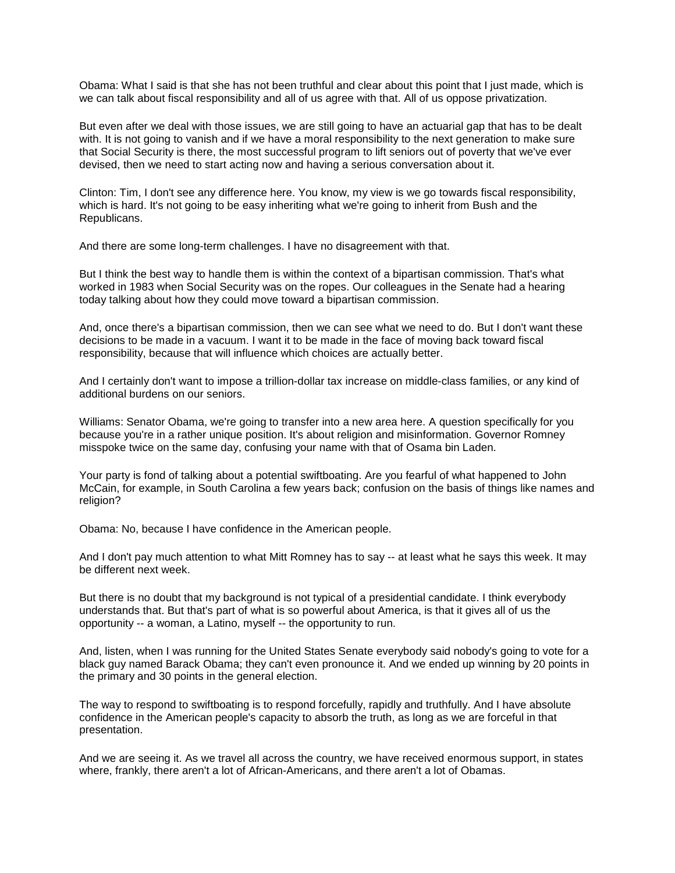Obama: What I said is that she has not been truthful and clear about this point that I just made, which is we can talk about fiscal responsibility and all of us agree with that. All of us oppose privatization.

But even after we deal with those issues, we are still going to have an actuarial gap that has to be dealt with. It is not going to vanish and if we have a moral responsibility to the next generation to make sure that Social Security is there, the most successful program to lift seniors out of poverty that we've ever devised, then we need to start acting now and having a serious conversation about it.

Clinton: Tim, I don't see any difference here. You know, my view is we go towards fiscal responsibility, which is hard. It's not going to be easy inheriting what we're going to inherit from Bush and the Republicans.

And there are some long-term challenges. I have no disagreement with that.

But I think the best way to handle them is within the context of a bipartisan commission. That's what worked in 1983 when Social Security was on the ropes. Our colleagues in the Senate had a hearing today talking about how they could move toward a bipartisan commission.

And, once there's a bipartisan commission, then we can see what we need to do. But I don't want these decisions to be made in a vacuum. I want it to be made in the face of moving back toward fiscal responsibility, because that will influence which choices are actually better.

And I certainly don't want to impose a trillion-dollar tax increase on middle-class families, or any kind of additional burdens on our seniors.

Williams: Senator Obama, we're going to transfer into a new area here. A question specifically for you because you're in a rather unique position. It's about religion and misinformation. Governor Romney misspoke twice on the same day, confusing your name with that of Osama bin Laden.

Your party is fond of talking about a potential swiftboating. Are you fearful of what happened to John McCain, for example, in South Carolina a few years back; confusion on the basis of things like names and religion?

Obama: No, because I have confidence in the American people.

And I don't pay much attention to what Mitt Romney has to say -- at least what he says this week. It may be different next week.

But there is no doubt that my background is not typical of a presidential candidate. I think everybody understands that. But that's part of what is so powerful about America, is that it gives all of us the opportunity -- a woman, a Latino, myself -- the opportunity to run.

And, listen, when I was running for the United States Senate everybody said nobody's going to vote for a black guy named Barack Obama; they can't even pronounce it. And we ended up winning by 20 points in the primary and 30 points in the general election.

The way to respond to swiftboating is to respond forcefully, rapidly and truthfully. And I have absolute confidence in the American people's capacity to absorb the truth, as long as we are forceful in that presentation.

And we are seeing it. As we travel all across the country, we have received enormous support, in states where, frankly, there aren't a lot of African-Americans, and there aren't a lot of Obamas.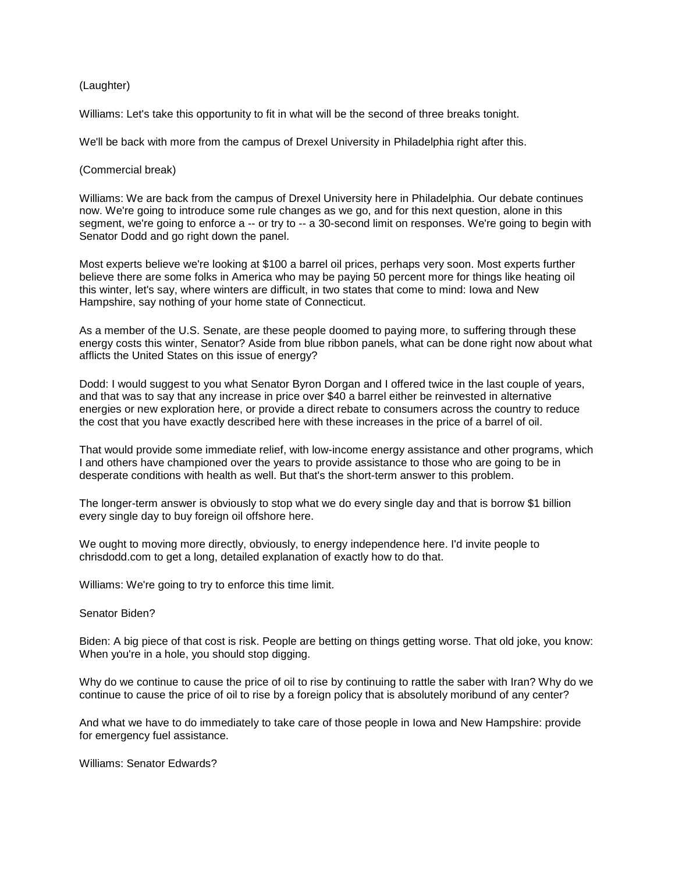# (Laughter)

Williams: Let's take this opportunity to fit in what will be the second of three breaks tonight.

We'll be back with more from the campus of Drexel University in Philadelphia right after this.

# (Commercial break)

Williams: We are back from the campus of Drexel University here in Philadelphia. Our debate continues now. We're going to introduce some rule changes as we go, and for this next question, alone in this segment, we're going to enforce a -- or try to -- a 30-second limit on responses. We're going to begin with Senator Dodd and go right down the panel.

Most experts believe we're looking at \$100 a barrel oil prices, perhaps very soon. Most experts further believe there are some folks in America who may be paying 50 percent more for things like heating oil this winter, let's say, where winters are difficult, in two states that come to mind: Iowa and New Hampshire, say nothing of your home state of Connecticut.

As a member of the U.S. Senate, are these people doomed to paying more, to suffering through these energy costs this winter, Senator? Aside from blue ribbon panels, what can be done right now about what afflicts the United States on this issue of energy?

Dodd: I would suggest to you what Senator Byron Dorgan and I offered twice in the last couple of years, and that was to say that any increase in price over \$40 a barrel either be reinvested in alternative energies or new exploration here, or provide a direct rebate to consumers across the country to reduce the cost that you have exactly described here with these increases in the price of a barrel of oil.

That would provide some immediate relief, with low-income energy assistance and other programs, which I and others have championed over the years to provide assistance to those who are going to be in desperate conditions with health as well. But that's the short-term answer to this problem.

The longer-term answer is obviously to stop what we do every single day and that is borrow \$1 billion every single day to buy foreign oil offshore here.

We ought to moving more directly, obviously, to energy independence here. I'd invite people to chrisdodd.com to get a long, detailed explanation of exactly how to do that.

Williams: We're going to try to enforce this time limit.

## Senator Biden?

Biden: A big piece of that cost is risk. People are betting on things getting worse. That old joke, you know: When you're in a hole, you should stop digging.

Why do we continue to cause the price of oil to rise by continuing to rattle the saber with Iran? Why do we continue to cause the price of oil to rise by a foreign policy that is absolutely moribund of any center?

And what we have to do immediately to take care of those people in Iowa and New Hampshire: provide for emergency fuel assistance.

Williams: Senator Edwards?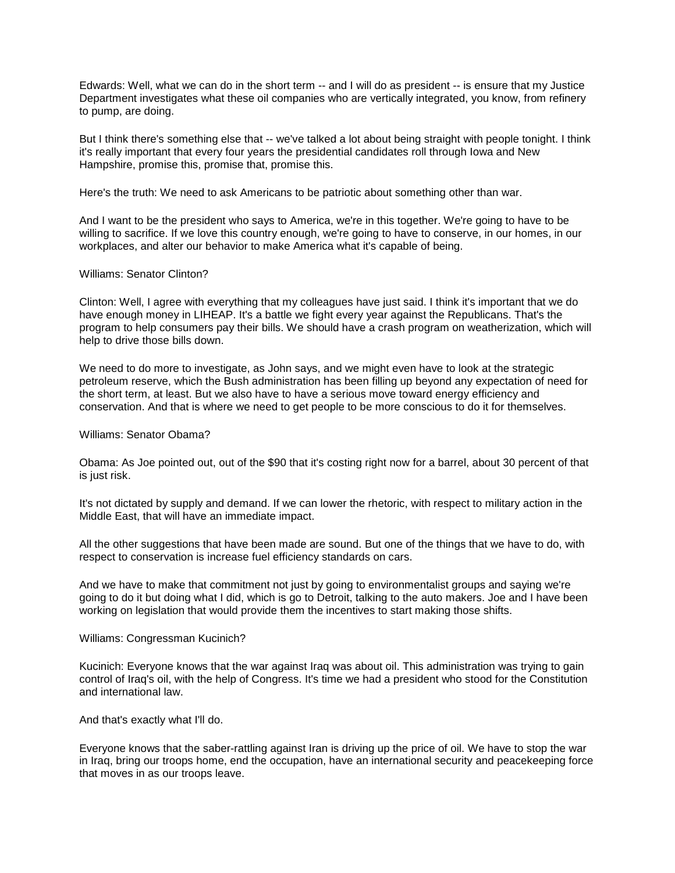Edwards: Well, what we can do in the short term -- and I will do as president -- is ensure that my Justice Department investigates what these oil companies who are vertically integrated, you know, from refinery to pump, are doing.

But I think there's something else that -- we've talked a lot about being straight with people tonight. I think it's really important that every four years the presidential candidates roll through Iowa and New Hampshire, promise this, promise that, promise this.

Here's the truth: We need to ask Americans to be patriotic about something other than war.

And I want to be the president who says to America, we're in this together. We're going to have to be willing to sacrifice. If we love this country enough, we're going to have to conserve, in our homes, in our workplaces, and alter our behavior to make America what it's capable of being.

## Williams: Senator Clinton?

Clinton: Well, I agree with everything that my colleagues have just said. I think it's important that we do have enough money in LIHEAP. It's a battle we fight every year against the Republicans. That's the program to help consumers pay their bills. We should have a crash program on weatherization, which will help to drive those bills down.

We need to do more to investigate, as John says, and we might even have to look at the strategic petroleum reserve, which the Bush administration has been filling up beyond any expectation of need for the short term, at least. But we also have to have a serious move toward energy efficiency and conservation. And that is where we need to get people to be more conscious to do it for themselves.

#### Williams: Senator Obama?

Obama: As Joe pointed out, out of the \$90 that it's costing right now for a barrel, about 30 percent of that is just risk.

It's not dictated by supply and demand. If we can lower the rhetoric, with respect to military action in the Middle East, that will have an immediate impact.

All the other suggestions that have been made are sound. But one of the things that we have to do, with respect to conservation is increase fuel efficiency standards on cars.

And we have to make that commitment not just by going to environmentalist groups and saying we're going to do it but doing what I did, which is go to Detroit, talking to the auto makers. Joe and I have been working on legislation that would provide them the incentives to start making those shifts.

Williams: Congressman Kucinich?

Kucinich: Everyone knows that the war against Iraq was about oil. This administration was trying to gain control of Iraq's oil, with the help of Congress. It's time we had a president who stood for the Constitution and international law.

And that's exactly what I'll do.

Everyone knows that the saber-rattling against Iran is driving up the price of oil. We have to stop the war in Iraq, bring our troops home, end the occupation, have an international security and peacekeeping force that moves in as our troops leave.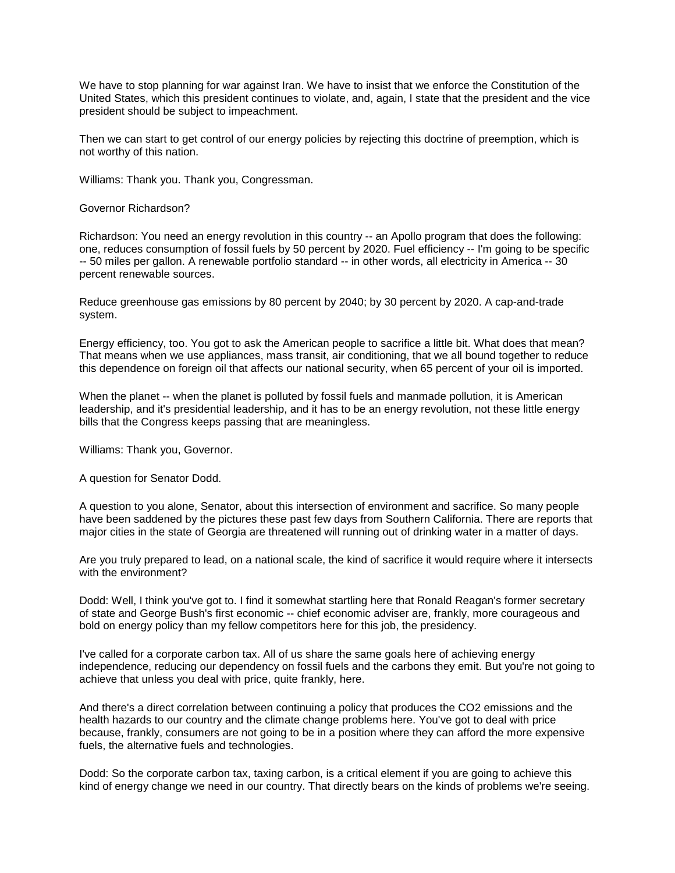We have to stop planning for war against Iran. We have to insist that we enforce the Constitution of the United States, which this president continues to violate, and, again, I state that the president and the vice president should be subject to impeachment.

Then we can start to get control of our energy policies by rejecting this doctrine of preemption, which is not worthy of this nation.

Williams: Thank you. Thank you, Congressman.

Governor Richardson?

Richardson: You need an energy revolution in this country -- an Apollo program that does the following: one, reduces consumption of fossil fuels by 50 percent by 2020. Fuel efficiency -- I'm going to be specific -- 50 miles per gallon. A renewable portfolio standard -- in other words, all electricity in America -- 30 percent renewable sources.

Reduce greenhouse gas emissions by 80 percent by 2040; by 30 percent by 2020. A cap-and-trade system.

Energy efficiency, too. You got to ask the American people to sacrifice a little bit. What does that mean? That means when we use appliances, mass transit, air conditioning, that we all bound together to reduce this dependence on foreign oil that affects our national security, when 65 percent of your oil is imported.

When the planet -- when the planet is polluted by fossil fuels and manmade pollution, it is American leadership, and it's presidential leadership, and it has to be an energy revolution, not these little energy bills that the Congress keeps passing that are meaningless.

Williams: Thank you, Governor.

A question for Senator Dodd.

A question to you alone, Senator, about this intersection of environment and sacrifice. So many people have been saddened by the pictures these past few days from Southern California. There are reports that major cities in the state of Georgia are threatened will running out of drinking water in a matter of days.

Are you truly prepared to lead, on a national scale, the kind of sacrifice it would require where it intersects with the environment?

Dodd: Well, I think you've got to. I find it somewhat startling here that Ronald Reagan's former secretary of state and George Bush's first economic -- chief economic adviser are, frankly, more courageous and bold on energy policy than my fellow competitors here for this job, the presidency.

I've called for a corporate carbon tax. All of us share the same goals here of achieving energy independence, reducing our dependency on fossil fuels and the carbons they emit. But you're not going to achieve that unless you deal with price, quite frankly, here.

And there's a direct correlation between continuing a policy that produces the CO2 emissions and the health hazards to our country and the climate change problems here. You've got to deal with price because, frankly, consumers are not going to be in a position where they can afford the more expensive fuels, the alternative fuels and technologies.

Dodd: So the corporate carbon tax, taxing carbon, is a critical element if you are going to achieve this kind of energy change we need in our country. That directly bears on the kinds of problems we're seeing.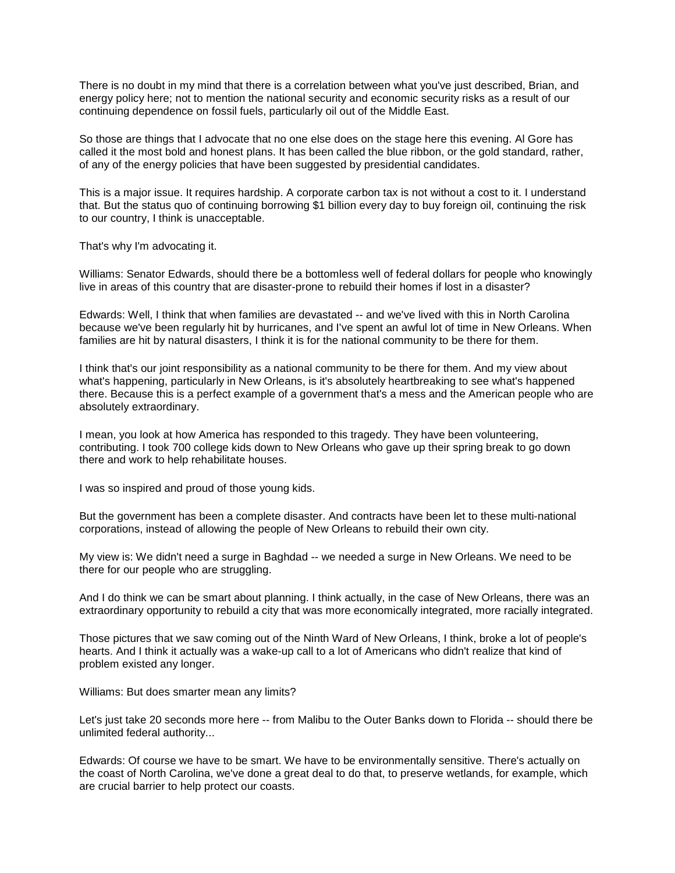There is no doubt in my mind that there is a correlation between what you've just described, Brian, and energy policy here; not to mention the national security and economic security risks as a result of our continuing dependence on fossil fuels, particularly oil out of the Middle East.

So those are things that I advocate that no one else does on the stage here this evening. Al Gore has called it the most bold and honest plans. It has been called the blue ribbon, or the gold standard, rather, of any of the energy policies that have been suggested by presidential candidates.

This is a major issue. It requires hardship. A corporate carbon tax is not without a cost to it. I understand that. But the status quo of continuing borrowing \$1 billion every day to buy foreign oil, continuing the risk to our country, I think is unacceptable.

That's why I'm advocating it.

Williams: Senator Edwards, should there be a bottomless well of federal dollars for people who knowingly live in areas of this country that are disaster-prone to rebuild their homes if lost in a disaster?

Edwards: Well, I think that when families are devastated -- and we've lived with this in North Carolina because we've been regularly hit by hurricanes, and I've spent an awful lot of time in New Orleans. When families are hit by natural disasters, I think it is for the national community to be there for them.

I think that's our joint responsibility as a national community to be there for them. And my view about what's happening, particularly in New Orleans, is it's absolutely heartbreaking to see what's happened there. Because this is a perfect example of a government that's a mess and the American people who are absolutely extraordinary.

I mean, you look at how America has responded to this tragedy. They have been volunteering, contributing. I took 700 college kids down to New Orleans who gave up their spring break to go down there and work to help rehabilitate houses.

I was so inspired and proud of those young kids.

But the government has been a complete disaster. And contracts have been let to these multi-national corporations, instead of allowing the people of New Orleans to rebuild their own city.

My view is: We didn't need a surge in Baghdad -- we needed a surge in New Orleans. We need to be there for our people who are struggling.

And I do think we can be smart about planning. I think actually, in the case of New Orleans, there was an extraordinary opportunity to rebuild a city that was more economically integrated, more racially integrated.

Those pictures that we saw coming out of the Ninth Ward of New Orleans, I think, broke a lot of people's hearts. And I think it actually was a wake-up call to a lot of Americans who didn't realize that kind of problem existed any longer.

Williams: But does smarter mean any limits?

Let's just take 20 seconds more here -- from Malibu to the Outer Banks down to Florida -- should there be unlimited federal authority...

Edwards: Of course we have to be smart. We have to be environmentally sensitive. There's actually on the coast of North Carolina, we've done a great deal to do that, to preserve wetlands, for example, which are crucial barrier to help protect our coasts.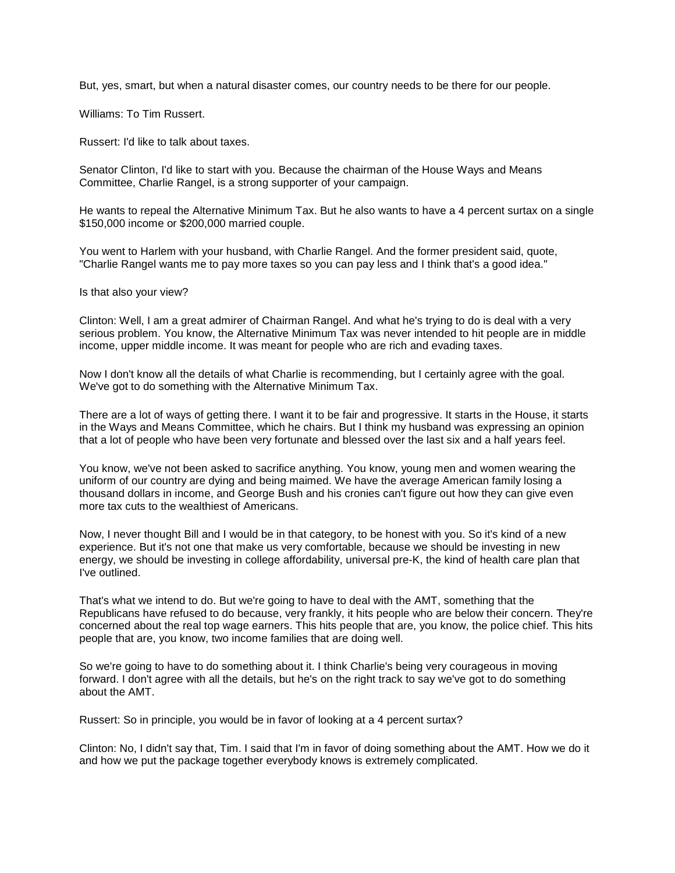But, yes, smart, but when a natural disaster comes, our country needs to be there for our people.

Williams: To Tim Russert.

Russert: I'd like to talk about taxes.

Senator Clinton, I'd like to start with you. Because the chairman of the House Ways and Means Committee, Charlie Rangel, is a strong supporter of your campaign.

He wants to repeal the Alternative Minimum Tax. But he also wants to have a 4 percent surtax on a single \$150,000 income or \$200,000 married couple.

You went to Harlem with your husband, with Charlie Rangel. And the former president said, quote, "Charlie Rangel wants me to pay more taxes so you can pay less and I think that's a good idea."

Is that also your view?

Clinton: Well, I am a great admirer of Chairman Rangel. And what he's trying to do is deal with a very serious problem. You know, the Alternative Minimum Tax was never intended to hit people are in middle income, upper middle income. It was meant for people who are rich and evading taxes.

Now I don't know all the details of what Charlie is recommending, but I certainly agree with the goal. We've got to do something with the Alternative Minimum Tax.

There are a lot of ways of getting there. I want it to be fair and progressive. It starts in the House, it starts in the Ways and Means Committee, which he chairs. But I think my husband was expressing an opinion that a lot of people who have been very fortunate and blessed over the last six and a half years feel.

You know, we've not been asked to sacrifice anything. You know, young men and women wearing the uniform of our country are dying and being maimed. We have the average American family losing a thousand dollars in income, and George Bush and his cronies can't figure out how they can give even more tax cuts to the wealthiest of Americans.

Now, I never thought Bill and I would be in that category, to be honest with you. So it's kind of a new experience. But it's not one that make us very comfortable, because we should be investing in new energy, we should be investing in college affordability, universal pre-K, the kind of health care plan that I've outlined.

That's what we intend to do. But we're going to have to deal with the AMT, something that the Republicans have refused to do because, very frankly, it hits people who are below their concern. They're concerned about the real top wage earners. This hits people that are, you know, the police chief. This hits people that are, you know, two income families that are doing well.

So we're going to have to do something about it. I think Charlie's being very courageous in moving forward. I don't agree with all the details, but he's on the right track to say we've got to do something about the AMT.

Russert: So in principle, you would be in favor of looking at a 4 percent surtax?

Clinton: No, I didn't say that, Tim. I said that I'm in favor of doing something about the AMT. How we do it and how we put the package together everybody knows is extremely complicated.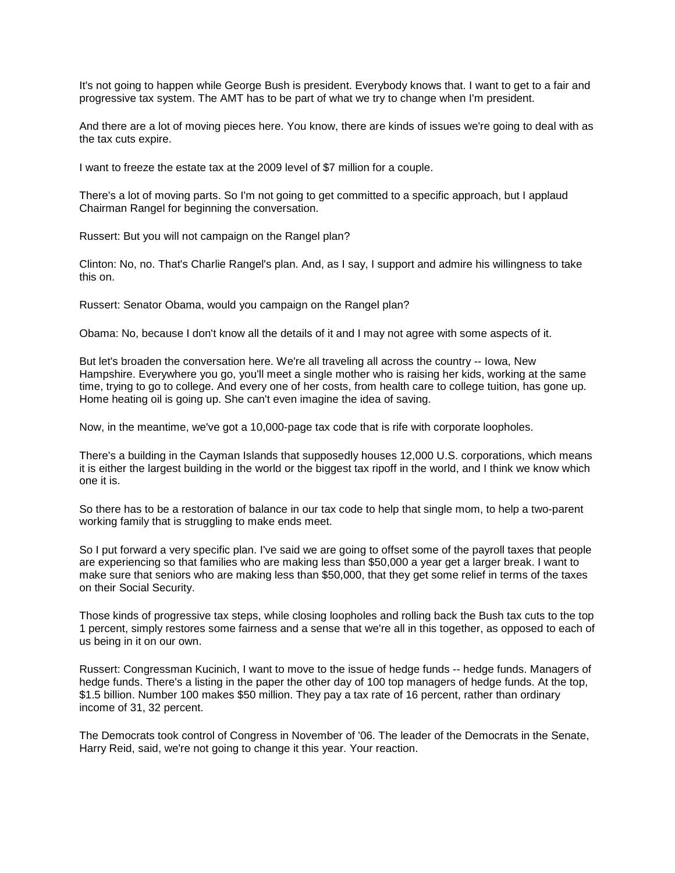It's not going to happen while George Bush is president. Everybody knows that. I want to get to a fair and progressive tax system. The AMT has to be part of what we try to change when I'm president.

And there are a lot of moving pieces here. You know, there are kinds of issues we're going to deal with as the tax cuts expire.

I want to freeze the estate tax at the 2009 level of \$7 million for a couple.

There's a lot of moving parts. So I'm not going to get committed to a specific approach, but I applaud Chairman Rangel for beginning the conversation.

Russert: But you will not campaign on the Rangel plan?

Clinton: No, no. That's Charlie Rangel's plan. And, as I say, I support and admire his willingness to take this on.

Russert: Senator Obama, would you campaign on the Rangel plan?

Obama: No, because I don't know all the details of it and I may not agree with some aspects of it.

But let's broaden the conversation here. We're all traveling all across the country -- Iowa, New Hampshire. Everywhere you go, you'll meet a single mother who is raising her kids, working at the same time, trying to go to college. And every one of her costs, from health care to college tuition, has gone up. Home heating oil is going up. She can't even imagine the idea of saving.

Now, in the meantime, we've got a 10,000-page tax code that is rife with corporate loopholes.

There's a building in the Cayman Islands that supposedly houses 12,000 U.S. corporations, which means it is either the largest building in the world or the biggest tax ripoff in the world, and I think we know which one it is.

So there has to be a restoration of balance in our tax code to help that single mom, to help a two-parent working family that is struggling to make ends meet.

So I put forward a very specific plan. I've said we are going to offset some of the payroll taxes that people are experiencing so that families who are making less than \$50,000 a year get a larger break. I want to make sure that seniors who are making less than \$50,000, that they get some relief in terms of the taxes on their Social Security.

Those kinds of progressive tax steps, while closing loopholes and rolling back the Bush tax cuts to the top 1 percent, simply restores some fairness and a sense that we're all in this together, as opposed to each of us being in it on our own.

Russert: Congressman Kucinich, I want to move to the issue of hedge funds -- hedge funds. Managers of hedge funds. There's a listing in the paper the other day of 100 top managers of hedge funds. At the top, \$1.5 billion. Number 100 makes \$50 million. They pay a tax rate of 16 percent, rather than ordinary income of 31, 32 percent.

The Democrats took control of Congress in November of '06. The leader of the Democrats in the Senate, Harry Reid, said, we're not going to change it this year. Your reaction.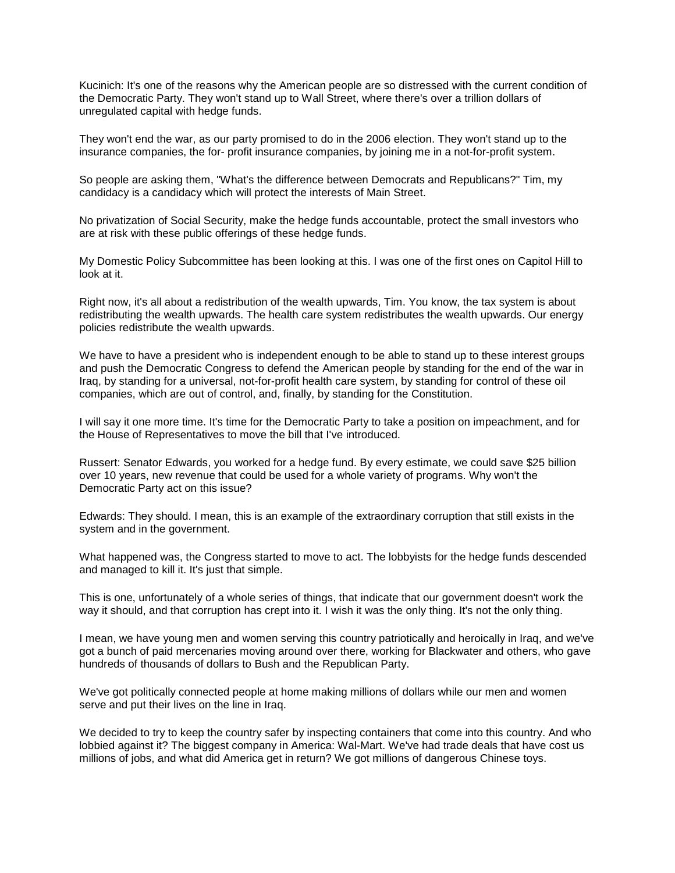Kucinich: It's one of the reasons why the American people are so distressed with the current condition of the Democratic Party. They won't stand up to Wall Street, where there's over a trillion dollars of unregulated capital with hedge funds.

They won't end the war, as our party promised to do in the 2006 election. They won't stand up to the insurance companies, the for- profit insurance companies, by joining me in a not-for-profit system.

So people are asking them, "What's the difference between Democrats and Republicans?" Tim, my candidacy is a candidacy which will protect the interests of Main Street.

No privatization of Social Security, make the hedge funds accountable, protect the small investors who are at risk with these public offerings of these hedge funds.

My Domestic Policy Subcommittee has been looking at this. I was one of the first ones on Capitol Hill to look at it.

Right now, it's all about a redistribution of the wealth upwards, Tim. You know, the tax system is about redistributing the wealth upwards. The health care system redistributes the wealth upwards. Our energy policies redistribute the wealth upwards.

We have to have a president who is independent enough to be able to stand up to these interest groups and push the Democratic Congress to defend the American people by standing for the end of the war in Iraq, by standing for a universal, not-for-profit health care system, by standing for control of these oil companies, which are out of control, and, finally, by standing for the Constitution.

I will say it one more time. It's time for the Democratic Party to take a position on impeachment, and for the House of Representatives to move the bill that I've introduced.

Russert: Senator Edwards, you worked for a hedge fund. By every estimate, we could save \$25 billion over 10 years, new revenue that could be used for a whole variety of programs. Why won't the Democratic Party act on this issue?

Edwards: They should. I mean, this is an example of the extraordinary corruption that still exists in the system and in the government.

What happened was, the Congress started to move to act. The lobbyists for the hedge funds descended and managed to kill it. It's just that simple.

This is one, unfortunately of a whole series of things, that indicate that our government doesn't work the way it should, and that corruption has crept into it. I wish it was the only thing. It's not the only thing.

I mean, we have young men and women serving this country patriotically and heroically in Iraq, and we've got a bunch of paid mercenaries moving around over there, working for Blackwater and others, who gave hundreds of thousands of dollars to Bush and the Republican Party.

We've got politically connected people at home making millions of dollars while our men and women serve and put their lives on the line in Iraq.

We decided to try to keep the country safer by inspecting containers that come into this country. And who lobbied against it? The biggest company in America: Wal-Mart. We've had trade deals that have cost us millions of jobs, and what did America get in return? We got millions of dangerous Chinese toys.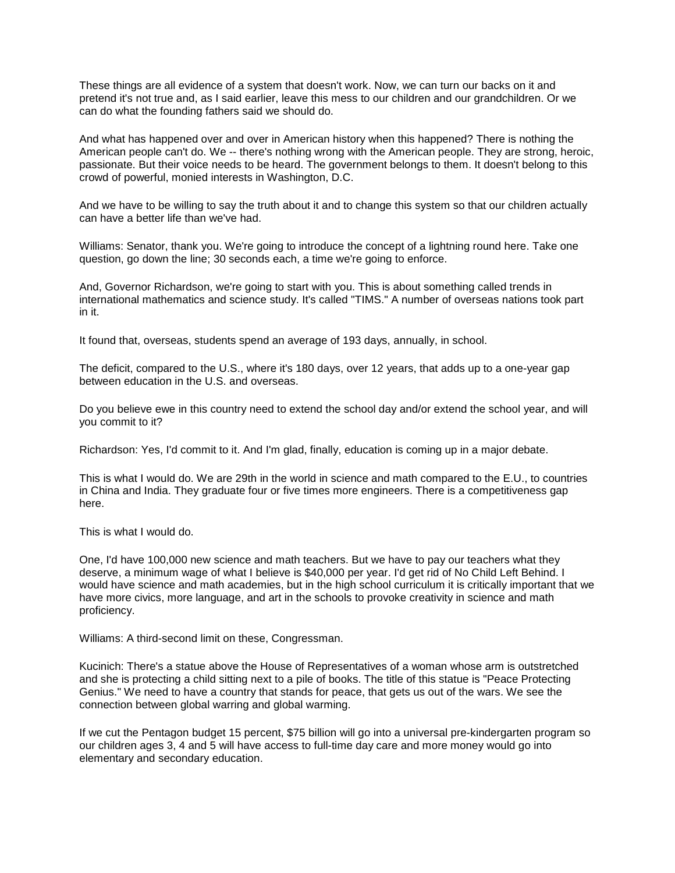These things are all evidence of a system that doesn't work. Now, we can turn our backs on it and pretend it's not true and, as I said earlier, leave this mess to our children and our grandchildren. Or we can do what the founding fathers said we should do.

And what has happened over and over in American history when this happened? There is nothing the American people can't do. We -- there's nothing wrong with the American people. They are strong, heroic, passionate. But their voice needs to be heard. The government belongs to them. It doesn't belong to this crowd of powerful, monied interests in Washington, D.C.

And we have to be willing to say the truth about it and to change this system so that our children actually can have a better life than we've had.

Williams: Senator, thank you. We're going to introduce the concept of a lightning round here. Take one question, go down the line; 30 seconds each, a time we're going to enforce.

And, Governor Richardson, we're going to start with you. This is about something called trends in international mathematics and science study. It's called "TIMS." A number of overseas nations took part in it.

It found that, overseas, students spend an average of 193 days, annually, in school.

The deficit, compared to the U.S., where it's 180 days, over 12 years, that adds up to a one-year gap between education in the U.S. and overseas.

Do you believe ewe in this country need to extend the school day and/or extend the school year, and will you commit to it?

Richardson: Yes, I'd commit to it. And I'm glad, finally, education is coming up in a major debate.

This is what I would do. We are 29th in the world in science and math compared to the E.U., to countries in China and India. They graduate four or five times more engineers. There is a competitiveness gap here.

This is what I would do.

One, I'd have 100,000 new science and math teachers. But we have to pay our teachers what they deserve, a minimum wage of what I believe is \$40,000 per year. I'd get rid of No Child Left Behind. I would have science and math academies, but in the high school curriculum it is critically important that we have more civics, more language, and art in the schools to provoke creativity in science and math proficiency.

Williams: A third-second limit on these, Congressman.

Kucinich: There's a statue above the House of Representatives of a woman whose arm is outstretched and she is protecting a child sitting next to a pile of books. The title of this statue is "Peace Protecting Genius." We need to have a country that stands for peace, that gets us out of the wars. We see the connection between global warring and global warming.

If we cut the Pentagon budget 15 percent, \$75 billion will go into a universal pre-kindergarten program so our children ages 3, 4 and 5 will have access to full-time day care and more money would go into elementary and secondary education.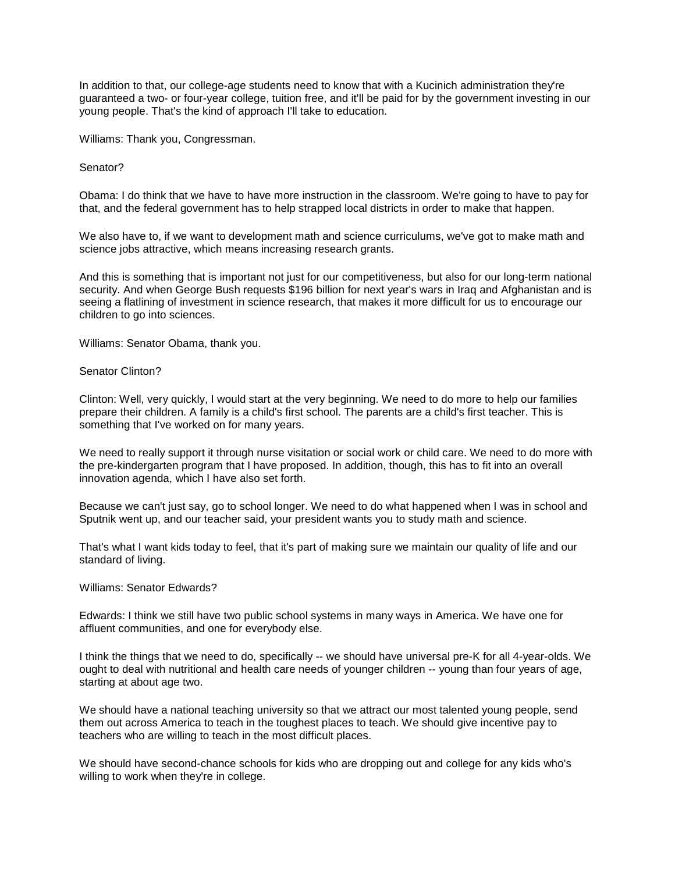In addition to that, our college-age students need to know that with a Kucinich administration they're guaranteed a two- or four-year college, tuition free, and it'll be paid for by the government investing in our young people. That's the kind of approach I'll take to education.

Williams: Thank you, Congressman.

Senator?

Obama: I do think that we have to have more instruction in the classroom. We're going to have to pay for that, and the federal government has to help strapped local districts in order to make that happen.

We also have to, if we want to development math and science curriculums, we've got to make math and science jobs attractive, which means increasing research grants.

And this is something that is important not just for our competitiveness, but also for our long-term national security. And when George Bush requests \$196 billion for next year's wars in Iraq and Afghanistan and is seeing a flatlining of investment in science research, that makes it more difficult for us to encourage our children to go into sciences.

Williams: Senator Obama, thank you.

Senator Clinton?

Clinton: Well, very quickly, I would start at the very beginning. We need to do more to help our families prepare their children. A family is a child's first school. The parents are a child's first teacher. This is something that I've worked on for many years.

We need to really support it through nurse visitation or social work or child care. We need to do more with the pre-kindergarten program that I have proposed. In addition, though, this has to fit into an overall innovation agenda, which I have also set forth.

Because we can't just say, go to school longer. We need to do what happened when I was in school and Sputnik went up, and our teacher said, your president wants you to study math and science.

That's what I want kids today to feel, that it's part of making sure we maintain our quality of life and our standard of living.

Williams: Senator Edwards?

Edwards: I think we still have two public school systems in many ways in America. We have one for affluent communities, and one for everybody else.

I think the things that we need to do, specifically -- we should have universal pre-K for all 4-year-olds. We ought to deal with nutritional and health care needs of younger children -- young than four years of age, starting at about age two.

We should have a national teaching university so that we attract our most talented young people, send them out across America to teach in the toughest places to teach. We should give incentive pay to teachers who are willing to teach in the most difficult places.

We should have second-chance schools for kids who are dropping out and college for any kids who's willing to work when they're in college.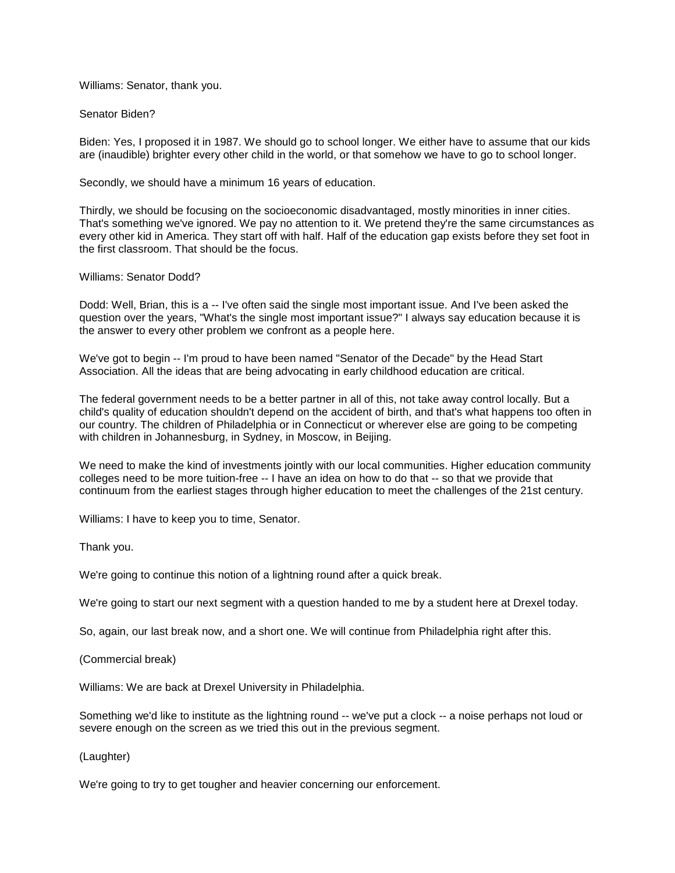Williams: Senator, thank you.

#### Senator Biden?

Biden: Yes, I proposed it in 1987. We should go to school longer. We either have to assume that our kids are (inaudible) brighter every other child in the world, or that somehow we have to go to school longer.

Secondly, we should have a minimum 16 years of education.

Thirdly, we should be focusing on the socioeconomic disadvantaged, mostly minorities in inner cities. That's something we've ignored. We pay no attention to it. We pretend they're the same circumstances as every other kid in America. They start off with half. Half of the education gap exists before they set foot in the first classroom. That should be the focus.

## Williams: Senator Dodd?

Dodd: Well, Brian, this is a -- I've often said the single most important issue. And I've been asked the question over the years, "What's the single most important issue?" I always say education because it is the answer to every other problem we confront as a people here.

We've got to begin -- I'm proud to have been named "Senator of the Decade" by the Head Start Association. All the ideas that are being advocating in early childhood education are critical.

The federal government needs to be a better partner in all of this, not take away control locally. But a child's quality of education shouldn't depend on the accident of birth, and that's what happens too often in our country. The children of Philadelphia or in Connecticut or wherever else are going to be competing with children in Johannesburg, in Sydney, in Moscow, in Beijing.

We need to make the kind of investments jointly with our local communities. Higher education community colleges need to be more tuition-free -- I have an idea on how to do that -- so that we provide that continuum from the earliest stages through higher education to meet the challenges of the 21st century.

Williams: I have to keep you to time, Senator.

Thank you.

We're going to continue this notion of a lightning round after a quick break.

We're going to start our next segment with a question handed to me by a student here at Drexel today.

So, again, our last break now, and a short one. We will continue from Philadelphia right after this.

(Commercial break)

Williams: We are back at Drexel University in Philadelphia.

Something we'd like to institute as the lightning round -- we've put a clock -- a noise perhaps not loud or severe enough on the screen as we tried this out in the previous segment.

(Laughter)

We're going to try to get tougher and heavier concerning our enforcement.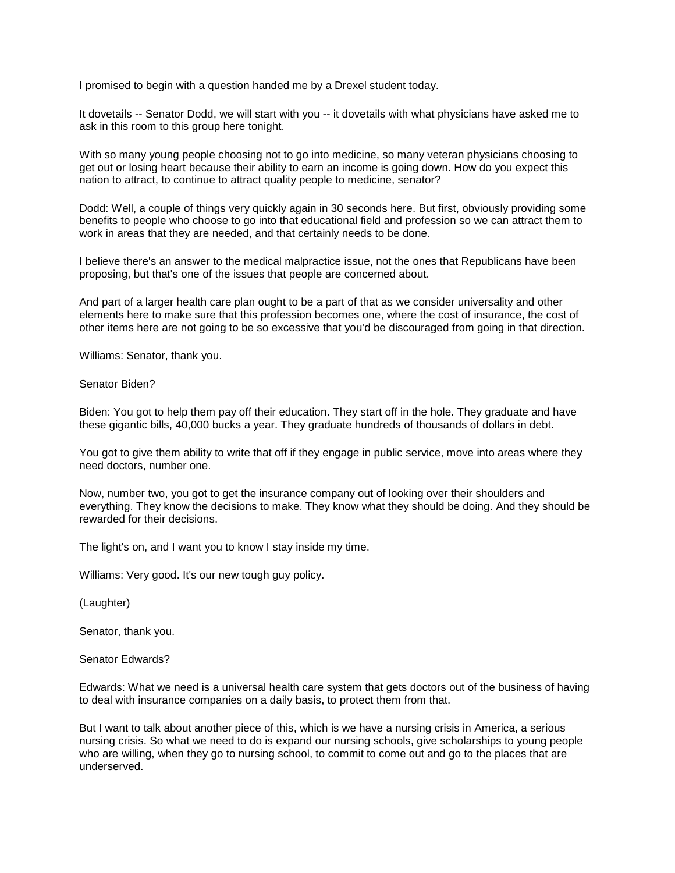I promised to begin with a question handed me by a Drexel student today.

It dovetails -- Senator Dodd, we will start with you -- it dovetails with what physicians have asked me to ask in this room to this group here tonight.

With so many young people choosing not to go into medicine, so many veteran physicians choosing to get out or losing heart because their ability to earn an income is going down. How do you expect this nation to attract, to continue to attract quality people to medicine, senator?

Dodd: Well, a couple of things very quickly again in 30 seconds here. But first, obviously providing some benefits to people who choose to go into that educational field and profession so we can attract them to work in areas that they are needed, and that certainly needs to be done.

I believe there's an answer to the medical malpractice issue, not the ones that Republicans have been proposing, but that's one of the issues that people are concerned about.

And part of a larger health care plan ought to be a part of that as we consider universality and other elements here to make sure that this profession becomes one, where the cost of insurance, the cost of other items here are not going to be so excessive that you'd be discouraged from going in that direction.

Williams: Senator, thank you.

Senator Biden?

Biden: You got to help them pay off their education. They start off in the hole. They graduate and have these gigantic bills, 40,000 bucks a year. They graduate hundreds of thousands of dollars in debt.

You got to give them ability to write that off if they engage in public service, move into areas where they need doctors, number one.

Now, number two, you got to get the insurance company out of looking over their shoulders and everything. They know the decisions to make. They know what they should be doing. And they should be rewarded for their decisions.

The light's on, and I want you to know I stay inside my time.

Williams: Very good. It's our new tough guy policy.

(Laughter)

Senator, thank you.

Senator Edwards?

Edwards: What we need is a universal health care system that gets doctors out of the business of having to deal with insurance companies on a daily basis, to protect them from that.

But I want to talk about another piece of this, which is we have a nursing crisis in America, a serious nursing crisis. So what we need to do is expand our nursing schools, give scholarships to young people who are willing, when they go to nursing school, to commit to come out and go to the places that are underserved.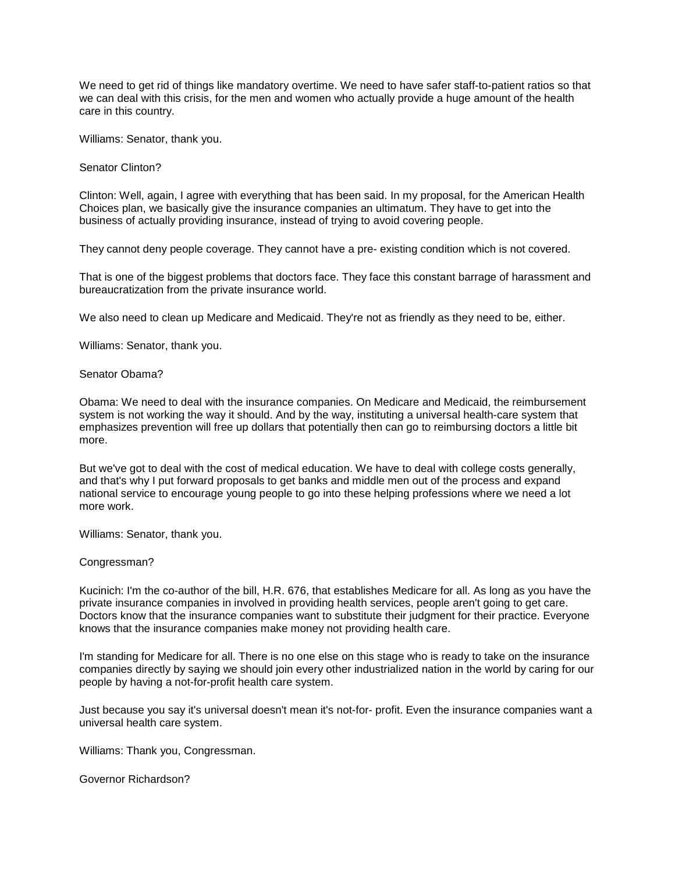We need to get rid of things like mandatory overtime. We need to have safer staff-to-patient ratios so that we can deal with this crisis, for the men and women who actually provide a huge amount of the health care in this country.

Williams: Senator, thank you.

Senator Clinton?

Clinton: Well, again, I agree with everything that has been said. In my proposal, for the American Health Choices plan, we basically give the insurance companies an ultimatum. They have to get into the business of actually providing insurance, instead of trying to avoid covering people.

They cannot deny people coverage. They cannot have a pre- existing condition which is not covered.

That is one of the biggest problems that doctors face. They face this constant barrage of harassment and bureaucratization from the private insurance world.

We also need to clean up Medicare and Medicaid. They're not as friendly as they need to be, either.

Williams: Senator, thank you.

Senator Obama?

Obama: We need to deal with the insurance companies. On Medicare and Medicaid, the reimbursement system is not working the way it should. And by the way, instituting a universal health-care system that emphasizes prevention will free up dollars that potentially then can go to reimbursing doctors a little bit more.

But we've got to deal with the cost of medical education. We have to deal with college costs generally, and that's why I put forward proposals to get banks and middle men out of the process and expand national service to encourage young people to go into these helping professions where we need a lot more work.

Williams: Senator, thank you.

#### Congressman?

Kucinich: I'm the co-author of the bill, H.R. 676, that establishes Medicare for all. As long as you have the private insurance companies in involved in providing health services, people aren't going to get care. Doctors know that the insurance companies want to substitute their judgment for their practice. Everyone knows that the insurance companies make money not providing health care.

I'm standing for Medicare for all. There is no one else on this stage who is ready to take on the insurance companies directly by saying we should join every other industrialized nation in the world by caring for our people by having a not-for-profit health care system.

Just because you say it's universal doesn't mean it's not-for- profit. Even the insurance companies want a universal health care system.

Williams: Thank you, Congressman.

Governor Richardson?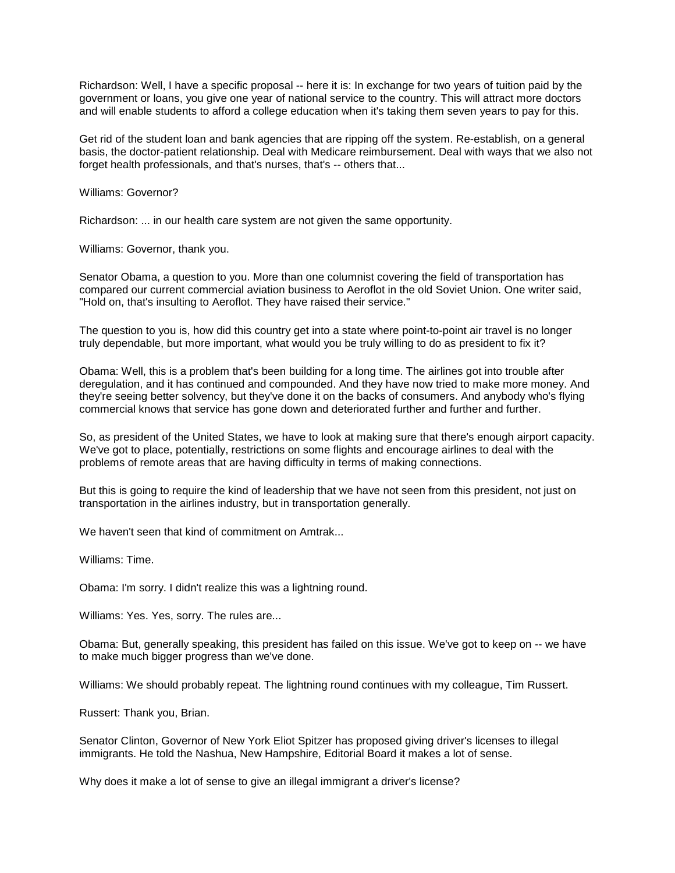Richardson: Well, I have a specific proposal -- here it is: In exchange for two years of tuition paid by the government or loans, you give one year of national service to the country. This will attract more doctors and will enable students to afford a college education when it's taking them seven years to pay for this.

Get rid of the student loan and bank agencies that are ripping off the system. Re-establish, on a general basis, the doctor-patient relationship. Deal with Medicare reimbursement. Deal with ways that we also not forget health professionals, and that's nurses, that's -- others that...

Williams: Governor?

Richardson: ... in our health care system are not given the same opportunity.

Williams: Governor, thank you.

Senator Obama, a question to you. More than one columnist covering the field of transportation has compared our current commercial aviation business to Aeroflot in the old Soviet Union. One writer said, "Hold on, that's insulting to Aeroflot. They have raised their service."

The question to you is, how did this country get into a state where point-to-point air travel is no longer truly dependable, but more important, what would you be truly willing to do as president to fix it?

Obama: Well, this is a problem that's been building for a long time. The airlines got into trouble after deregulation, and it has continued and compounded. And they have now tried to make more money. And they're seeing better solvency, but they've done it on the backs of consumers. And anybody who's flying commercial knows that service has gone down and deteriorated further and further and further.

So, as president of the United States, we have to look at making sure that there's enough airport capacity. We've got to place, potentially, restrictions on some flights and encourage airlines to deal with the problems of remote areas that are having difficulty in terms of making connections.

But this is going to require the kind of leadership that we have not seen from this president, not just on transportation in the airlines industry, but in transportation generally.

We haven't seen that kind of commitment on Amtrak...

Williams: Time.

Obama: I'm sorry. I didn't realize this was a lightning round.

Williams: Yes. Yes, sorry. The rules are...

Obama: But, generally speaking, this president has failed on this issue. We've got to keep on -- we have to make much bigger progress than we've done.

Williams: We should probably repeat. The lightning round continues with my colleague, Tim Russert.

Russert: Thank you, Brian.

Senator Clinton, Governor of New York Eliot Spitzer has proposed giving driver's licenses to illegal immigrants. He told the Nashua, New Hampshire, Editorial Board it makes a lot of sense.

Why does it make a lot of sense to give an illegal immigrant a driver's license?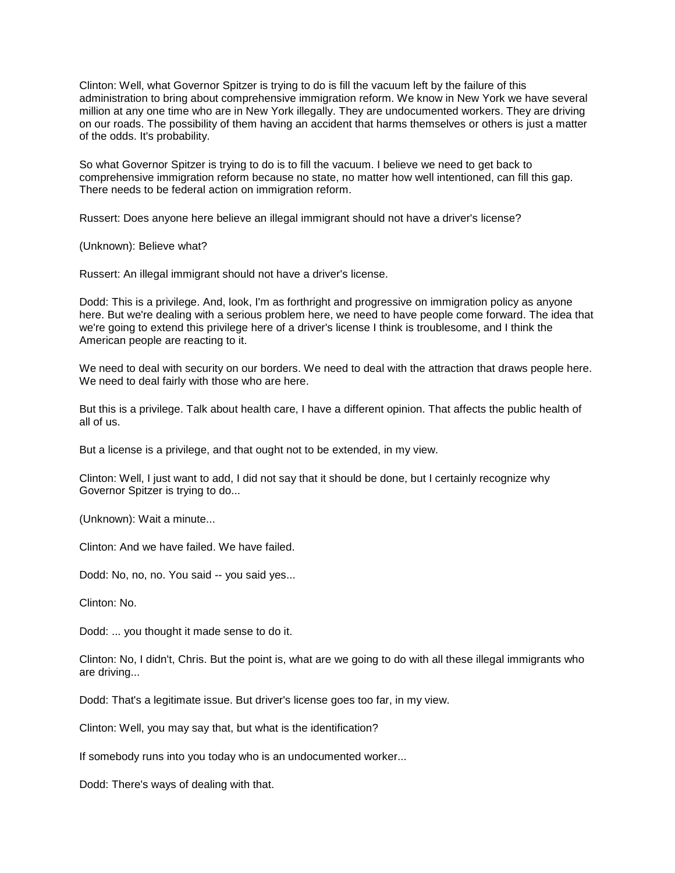Clinton: Well, what Governor Spitzer is trying to do is fill the vacuum left by the failure of this administration to bring about comprehensive immigration reform. We know in New York we have several million at any one time who are in New York illegally. They are undocumented workers. They are driving on our roads. The possibility of them having an accident that harms themselves or others is just a matter of the odds. It's probability.

So what Governor Spitzer is trying to do is to fill the vacuum. I believe we need to get back to comprehensive immigration reform because no state, no matter how well intentioned, can fill this gap. There needs to be federal action on immigration reform.

Russert: Does anyone here believe an illegal immigrant should not have a driver's license?

(Unknown): Believe what?

Russert: An illegal immigrant should not have a driver's license.

Dodd: This is a privilege. And, look, I'm as forthright and progressive on immigration policy as anyone here. But we're dealing with a serious problem here, we need to have people come forward. The idea that we're going to extend this privilege here of a driver's license I think is troublesome, and I think the American people are reacting to it.

We need to deal with security on our borders. We need to deal with the attraction that draws people here. We need to deal fairly with those who are here.

But this is a privilege. Talk about health care, I have a different opinion. That affects the public health of all of us.

But a license is a privilege, and that ought not to be extended, in my view.

Clinton: Well, I just want to add, I did not say that it should be done, but I certainly recognize why Governor Spitzer is trying to do...

(Unknown): Wait a minute...

Clinton: And we have failed. We have failed.

Dodd: No, no, no. You said -- you said yes...

Clinton: No.

Dodd: ... you thought it made sense to do it.

Clinton: No, I didn't, Chris. But the point is, what are we going to do with all these illegal immigrants who are driving...

Dodd: That's a legitimate issue. But driver's license goes too far, in my view.

Clinton: Well, you may say that, but what is the identification?

If somebody runs into you today who is an undocumented worker...

Dodd: There's ways of dealing with that.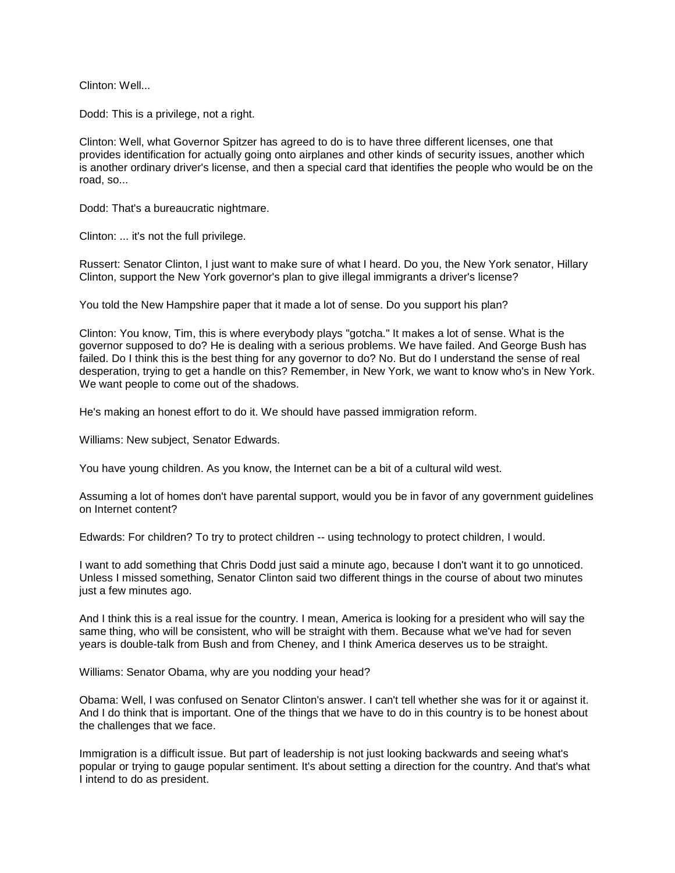Clinton: Well.

Dodd: This is a privilege, not a right.

Clinton: Well, what Governor Spitzer has agreed to do is to have three different licenses, one that provides identification for actually going onto airplanes and other kinds of security issues, another which is another ordinary driver's license, and then a special card that identifies the people who would be on the road, so...

Dodd: That's a bureaucratic nightmare.

Clinton: ... it's not the full privilege.

Russert: Senator Clinton, I just want to make sure of what I heard. Do you, the New York senator, Hillary Clinton, support the New York governor's plan to give illegal immigrants a driver's license?

You told the New Hampshire paper that it made a lot of sense. Do you support his plan?

Clinton: You know, Tim, this is where everybody plays "gotcha." It makes a lot of sense. What is the governor supposed to do? He is dealing with a serious problems. We have failed. And George Bush has failed. Do I think this is the best thing for any governor to do? No. But do I understand the sense of real desperation, trying to get a handle on this? Remember, in New York, we want to know who's in New York. We want people to come out of the shadows.

He's making an honest effort to do it. We should have passed immigration reform.

Williams: New subject, Senator Edwards.

You have young children. As you know, the Internet can be a bit of a cultural wild west.

Assuming a lot of homes don't have parental support, would you be in favor of any government guidelines on Internet content?

Edwards: For children? To try to protect children -- using technology to protect children, I would.

I want to add something that Chris Dodd just said a minute ago, because I don't want it to go unnoticed. Unless I missed something, Senator Clinton said two different things in the course of about two minutes just a few minutes ago.

And I think this is a real issue for the country. I mean, America is looking for a president who will say the same thing, who will be consistent, who will be straight with them. Because what we've had for seven years is double-talk from Bush and from Cheney, and I think America deserves us to be straight.

Williams: Senator Obama, why are you nodding your head?

Obama: Well, I was confused on Senator Clinton's answer. I can't tell whether she was for it or against it. And I do think that is important. One of the things that we have to do in this country is to be honest about the challenges that we face.

Immigration is a difficult issue. But part of leadership is not just looking backwards and seeing what's popular or trying to gauge popular sentiment. It's about setting a direction for the country. And that's what I intend to do as president.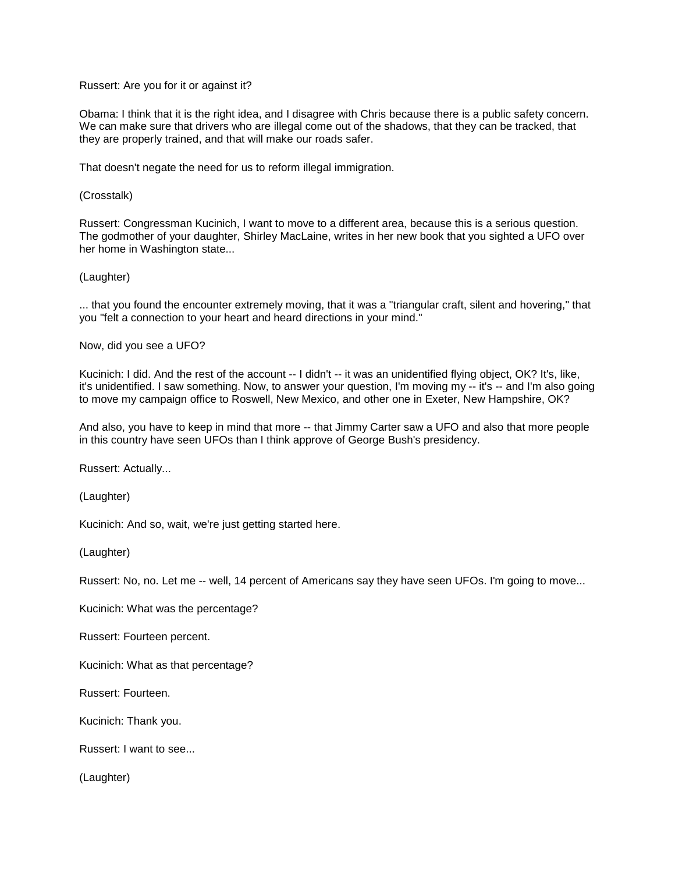## Russert: Are you for it or against it?

Obama: I think that it is the right idea, and I disagree with Chris because there is a public safety concern. We can make sure that drivers who are illegal come out of the shadows, that they can be tracked, that they are properly trained, and that will make our roads safer.

That doesn't negate the need for us to reform illegal immigration.

#### (Crosstalk)

Russert: Congressman Kucinich, I want to move to a different area, because this is a serious question. The godmother of your daughter, Shirley MacLaine, writes in her new book that you sighted a UFO over her home in Washington state...

## (Laughter)

... that you found the encounter extremely moving, that it was a "triangular craft, silent and hovering," that you "felt a connection to your heart and heard directions in your mind."

Now, did you see a UFO?

Kucinich: I did. And the rest of the account -- I didn't -- it was an unidentified flying object, OK? It's, like, it's unidentified. I saw something. Now, to answer your question, I'm moving my -- it's -- and I'm also going to move my campaign office to Roswell, New Mexico, and other one in Exeter, New Hampshire, OK?

And also, you have to keep in mind that more -- that Jimmy Carter saw a UFO and also that more people in this country have seen UFOs than I think approve of George Bush's presidency.

Russert: Actually...

(Laughter)

Kucinich: And so, wait, we're just getting started here.

(Laughter)

Russert: No, no. Let me -- well, 14 percent of Americans say they have seen UFOs. I'm going to move...

Kucinich: What was the percentage?

Russert: Fourteen percent.

Kucinich: What as that percentage?

Russert: Fourteen.

Kucinich: Thank you.

Russert: I want to see...

(Laughter)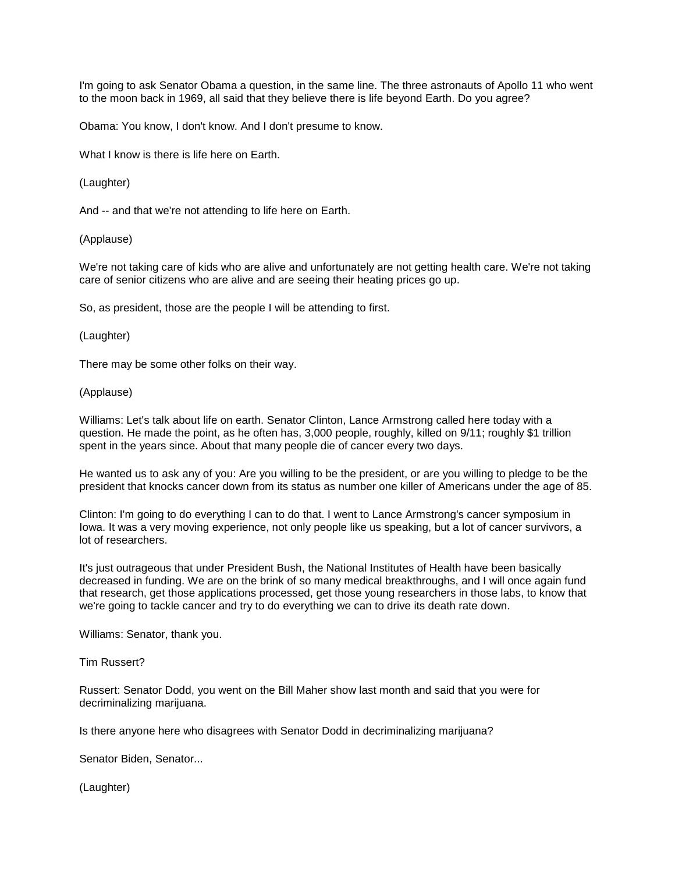I'm going to ask Senator Obama a question, in the same line. The three astronauts of Apollo 11 who went to the moon back in 1969, all said that they believe there is life beyond Earth. Do you agree?

Obama: You know, I don't know. And I don't presume to know.

What I know is there is life here on Earth.

(Laughter)

And -- and that we're not attending to life here on Earth.

(Applause)

We're not taking care of kids who are alive and unfortunately are not getting health care. We're not taking care of senior citizens who are alive and are seeing their heating prices go up.

So, as president, those are the people I will be attending to first.

(Laughter)

There may be some other folks on their way.

(Applause)

Williams: Let's talk about life on earth. Senator Clinton, Lance Armstrong called here today with a question. He made the point, as he often has, 3,000 people, roughly, killed on 9/11; roughly \$1 trillion spent in the years since. About that many people die of cancer every two days.

He wanted us to ask any of you: Are you willing to be the president, or are you willing to pledge to be the president that knocks cancer down from its status as number one killer of Americans under the age of 85.

Clinton: I'm going to do everything I can to do that. I went to Lance Armstrong's cancer symposium in Iowa. It was a very moving experience, not only people like us speaking, but a lot of cancer survivors, a lot of researchers.

It's just outrageous that under President Bush, the National Institutes of Health have been basically decreased in funding. We are on the brink of so many medical breakthroughs, and I will once again fund that research, get those applications processed, get those young researchers in those labs, to know that we're going to tackle cancer and try to do everything we can to drive its death rate down.

Williams: Senator, thank you.

Tim Russert?

Russert: Senator Dodd, you went on the Bill Maher show last month and said that you were for decriminalizing marijuana.

Is there anyone here who disagrees with Senator Dodd in decriminalizing marijuana?

Senator Biden, Senator...

(Laughter)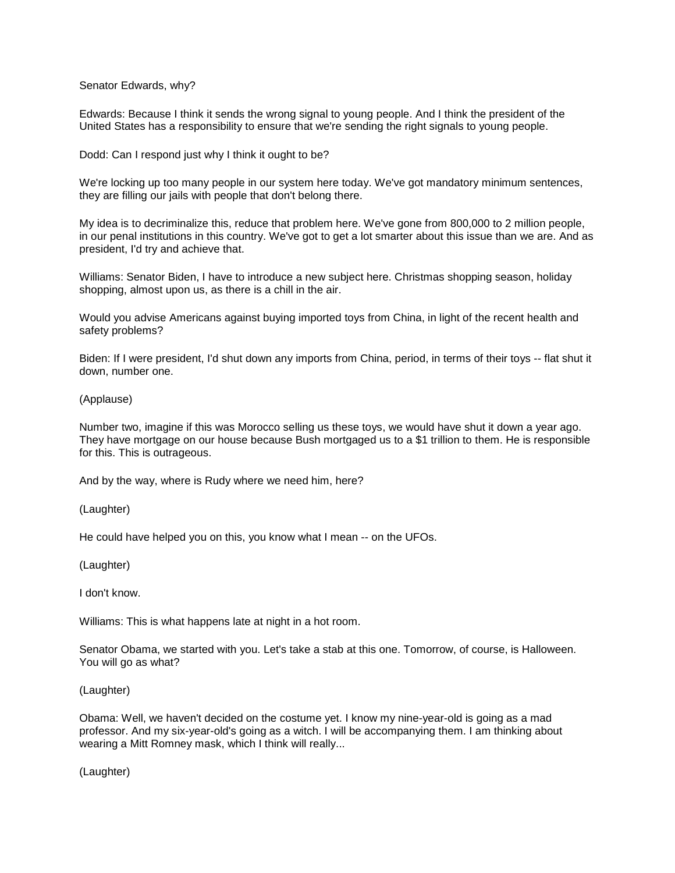# Senator Edwards, why?

Edwards: Because I think it sends the wrong signal to young people. And I think the president of the United States has a responsibility to ensure that we're sending the right signals to young people.

Dodd: Can I respond just why I think it ought to be?

We're locking up too many people in our system here today. We've got mandatory minimum sentences, they are filling our jails with people that don't belong there.

My idea is to decriminalize this, reduce that problem here. We've gone from 800,000 to 2 million people, in our penal institutions in this country. We've got to get a lot smarter about this issue than we are. And as president, I'd try and achieve that.

Williams: Senator Biden, I have to introduce a new subject here. Christmas shopping season, holiday shopping, almost upon us, as there is a chill in the air.

Would you advise Americans against buying imported toys from China, in light of the recent health and safety problems?

Biden: If I were president, I'd shut down any imports from China, period, in terms of their toys -- flat shut it down, number one.

# (Applause)

Number two, imagine if this was Morocco selling us these toys, we would have shut it down a year ago. They have mortgage on our house because Bush mortgaged us to a \$1 trillion to them. He is responsible for this. This is outrageous.

And by the way, where is Rudy where we need him, here?

(Laughter)

He could have helped you on this, you know what I mean -- on the UFOs.

(Laughter)

I don't know.

Williams: This is what happens late at night in a hot room.

Senator Obama, we started with you. Let's take a stab at this one. Tomorrow, of course, is Halloween. You will go as what?

(Laughter)

Obama: Well, we haven't decided on the costume yet. I know my nine-year-old is going as a mad professor. And my six-year-old's going as a witch. I will be accompanying them. I am thinking about wearing a Mitt Romney mask, which I think will really...

(Laughter)